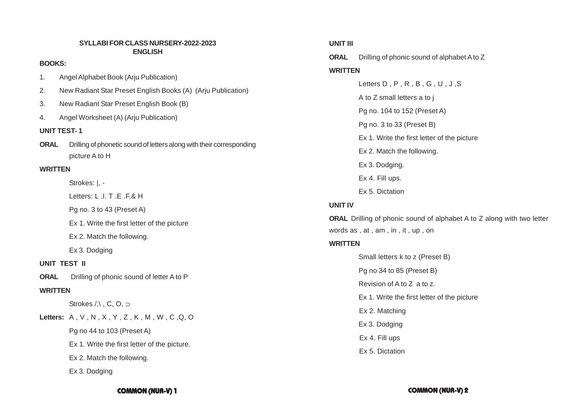### **SYLLABI FOR CLASS NURSERY-2022-2023 ENGLISH**

### **BOOKS:**

- 1. Angel Alphabet Book (Arju Publication)
- 2. New Radiant Star Preset English Books (A) (Arju Publication)
- 3. New Radiant Star Preset English Book (B)
- 4. Angel Worksheet (A) (Arju Publication)

# **UNIT TEST- 1**

**ORAL** Drilling of phonetic sound of letters along with their corresponding picture A to H

# **WRITTEN**

Strokes: |, -

 $l$  etters:  $l$   $l$   $l$   $T$   $F$   $F$  $R$   $H$ 

Pg no. 3 to 43 (Preset A)

Ex 1. Write the first letter of the picture

Ex 2. Match the following.

Ex 3. Dodging

# **UNIT TEST II**

**ORAL** Drilling of phonic sound of letter A to P

### **WRITTEN**

Strokes  $/$ , C, O,  $\supset$ 

**Letters:** A , V , N , X , Y , Z , K , M , W , C ,Q, O

Pg no 44 to 103 (Preset A)

Ex 1. Write the first letter of the picture.

Ex 2. Match the following.

Ex 3. Dodging

# **UNIT III**

**ORAL** Drilling of phonic sound of alphabet A to Z

# **WRITTEN**

Letters D , P , R , B , G , U , J ,S A to Z small letters a to j Pg no. 104 to 152 (Preset A) Pg no. 3 to 33 (Preset B) Ex 1. Write the first letter of the picture Ex 2. Match the following. Ex 3. Dodging. Ex 4. Fill ups. Ex 5. Dictation

# **UNIT IV**

**ORAL** Drilling of phonic sound of alphabet A to Z along with two letter words as , at , am , in , it , up , on

# **WRITTEN**

Small letters k to z (Preset B) Pg no 34 to 85 (Preset B) Revision of A to Z a to z. Ex 1. Write the first letter of the picture Ex 2. Matching Ex 3. Dodging Ex 4. Fill ups Ex 5. Dictation

**COMMON (NUR-V) 1 COMMON (NUR-V) 2**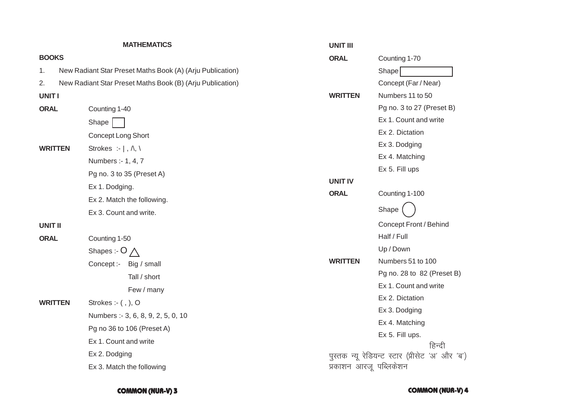|                | <b>MATHEMATICS</b>                                        | <b>UNIT III</b>        |                                     |
|----------------|-----------------------------------------------------------|------------------------|-------------------------------------|
| <b>BOOKS</b>   |                                                           | <b>ORAL</b>            | Counting 1-70                       |
| 1.             | New Radiant Star Preset Maths Book (A) (Arju Publication) |                        | Shape                               |
| 2.             | New Radiant Star Preset Maths Book (B) (Arju Publication) |                        | Concept (Far/                       |
| <b>UNITI</b>   |                                                           | <b>WRITTEN</b>         | Numbers 11 to                       |
| <b>ORAL</b>    | Counting 1-40                                             |                        | Pg no. 3 to 27                      |
|                | Shape                                                     |                        | Ex 1. Count an                      |
|                | Concept Long Short                                        |                        | Ex 2. Dictation                     |
| <b>WRITTEN</b> | Strokes :- $  , \wedge , \wedge$                          |                        | Ex 3. Dodging                       |
|                | Numbers :- 1, 4, 7                                        |                        | Ex 4. Matching                      |
|                | Pg no. 3 to 35 (Preset A)                                 |                        | Ex 5. Fill ups                      |
|                | Ex 1. Dodging.                                            | <b>UNIT IV</b>         |                                     |
|                | Ex 2. Match the following.                                | <b>ORAL</b>            | Counting 1-100                      |
|                | Ex 3. Count and write.                                    |                        | Shape                               |
| <b>UNIT II</b> |                                                           |                        | Concept Front                       |
| <b>ORAL</b>    | Counting 1-50                                             |                        | Half / Full                         |
|                | Shapes :- $O \wedge$                                      |                        | Up / Down                           |
|                | Concept:- Big / small                                     | <b>WRITTEN</b>         | Numbers 51 to                       |
|                | Tall / short                                              |                        | Pg no. 28 to 8                      |
|                | Few / many                                                |                        | Ex 1. Count an                      |
| <b>WRITTEN</b> | Strokes :- $($ , $)$ , O                                  |                        | Ex 2. Dictation                     |
|                | Numbers :- 3, 6, 8, 9, 2, 5, 0, 10                        |                        | Ex 3. Dodging                       |
|                | Pg no 36 to 106 (Preset A)                                |                        | Ex 4. Matching                      |
|                | Ex 1. Count and write                                     |                        | Ex 5. Fill ups.                     |
|                | Ex 2. Dodging                                             |                        | पुस्तक न्यू रेडियन्ट स्टार (प्रीसेट |
|                | Ex 3. Match the following                                 | प्रकाशन आरजू पब्लिकेशन |                                     |
|                |                                                           |                        |                                     |

| ORAL        | Counting 1-70                                        |  |
|-------------|------------------------------------------------------|--|
|             | Shape                                                |  |
|             | Concept (Far / Near)                                 |  |
| WRITTEN     | Numbers 11 to 50                                     |  |
|             | Pg no. 3 to 27 (Preset B)                            |  |
|             | Ex 1. Count and write                                |  |
|             | Ex 2. Dictation                                      |  |
|             | Ex 3. Dodging                                        |  |
|             | Ex 4. Matching                                       |  |
|             | Ex 5. Fill ups                                       |  |
| UNIT IV     |                                                      |  |
| <b>ORAL</b> | Counting 1-100                                       |  |
|             | Shape                                                |  |
|             | Concept Front / Behind                               |  |
|             | Half / Full                                          |  |
|             | Up / Down                                            |  |
| WRITTEN     | Numbers 51 to 100                                    |  |
|             | Pg no. 28 to 82 (Preset B)                           |  |
|             | Ex 1. Count and write                                |  |
|             | Ex 2. Dictation                                      |  |
|             | Ex 3. Dodging                                        |  |
|             | Ex 4. Matching                                       |  |
|             | Ex 5. Fill ups.                                      |  |
|             | हिन्दी                                               |  |
|             | .<br>पुस्तक न्यू रेडियन्ट स्टार (प्रीसेट 'अ' और 'ब') |  |

**COMMON (NUR-V)**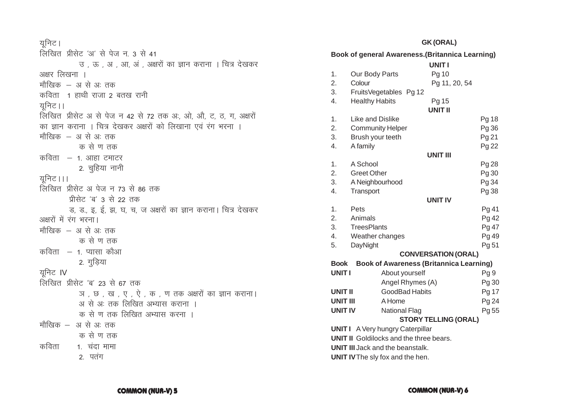# यनिट।

# लिखित प्रीसेट 'अ' से पेज न. 3 से 41 उ , ऊ , अ , आ, अं , अक्षरों का ज्ञान कराना । चित्र देखकर अक्षर लिखना । मौखिक – अ से अ: तक कविता 1 हाथी राजा 2 बतख रानी युनिट।। लिखित प्रीसेट अ से पेज न 42 से 72 तक अ:, ओ, औ, ट, ठ, ग, अक्षरों का ज्ञान कराना । चित्र देखकर अक्षरों को लिखाना एवं रंग भरना । मौखिक – अ से अ: तक क से ण तक कविता  $-$  1. आहा टमाटर 2. चुहिया नानी यनिट।।। लिखित प्रीसेट अ पेज न 73 से 86 तक प्रीसेट 'ब' 3 से 22 तक ड, ड, इ, ई, झ, घ, च, ज अक्षरों का ज्ञान कराना। चित्र देखकर अक्षरों में रंग भरना। मौखिक – अ से अ: तक क से ण तक कविता  $-$  1. प्यासा कौआ 2. गुड़िया युनिट IV लिखित प्रीसेट 'ब' 23 से 67 तक ज, छ, ख, ए, ऐ, क, ण तक अक्षरों का ज्ञान कराना। अ से अः तक लिखित अभ्यास कराना । क से ण तक लिखित अभ्यास करना । मौखिक – अ से अः तक क से ण तक कविता 1. चंदा मामा 2. पतंग

### **GK (ORAL)**

| <b>Book of general Awareness. (Britannica Learning)</b>                                  |                                                                  |                            |                 |
|------------------------------------------------------------------------------------------|------------------------------------------------------------------|----------------------------|-----------------|
|                                                                                          |                                                                  | <b>UNITI</b>               |                 |
| 1.                                                                                       | Our Body Parts                                                   | Pg 10                      |                 |
| 2.                                                                                       | Colour                                                           | Pg 11, 20, 54              |                 |
| 3.                                                                                       | FruitsVegetables Pg 12                                           |                            |                 |
| 4.                                                                                       | <b>Healthy Habits</b>                                            | Pg 15                      |                 |
|                                                                                          |                                                                  | <b>UNIT II</b>             |                 |
| 1.                                                                                       | Like and Dislike                                                 |                            | Pg 18           |
| 2.                                                                                       | <b>Community Helper</b>                                          |                            | Pg 36           |
| 3.                                                                                       | Brush your teeth                                                 |                            | Pg 21           |
| 4.                                                                                       | A family                                                         |                            | Pg 22           |
|                                                                                          |                                                                  | <b>UNIT III</b>            |                 |
| 1.                                                                                       | A School                                                         |                            | Pg 28           |
| 2.                                                                                       | <b>Greet Other</b>                                               |                            | Pg 30           |
| 3.                                                                                       | A Neighbourhood                                                  |                            | Pg 34           |
| 4.                                                                                       | Transport                                                        |                            | Pg 38           |
|                                                                                          |                                                                  | <b>UNIT IV</b>             |                 |
| 1.                                                                                       | Pets                                                             |                            | Pg 41           |
| 2.                                                                                       | Animals                                                          |                            | Pg 42           |
| 3.<br>4.                                                                                 | <b>TreesPlants</b>                                               |                            | Pg 47           |
| 5.                                                                                       | Weather changes                                                  |                            | Pg 49<br>Pg 51  |
|                                                                                          | DayNight                                                         |                            |                 |
|                                                                                          |                                                                  | <b>CONVERSATION (ORAL)</b> |                 |
| <b>Book</b><br><b>UNIT I</b>                                                             | <b>Book of Awareness (Britannica Learning)</b><br>About yourself |                            |                 |
|                                                                                          |                                                                  |                            | Pg <sub>9</sub> |
|                                                                                          | Angel Rhymes (A)                                                 |                            | Pg 30           |
|                                                                                          | <b>GoodBad Habits</b><br><b>UNIT II</b><br><b>UNIT III</b>       |                            | Pg 17           |
|                                                                                          | A Home                                                           |                            | Pg 24           |
| <b>UNIT IV</b>                                                                           | <b>National Flag</b>                                             |                            | Pg 55           |
| <b>STORY TELLING (ORAL)</b>                                                              |                                                                  |                            |                 |
| <b>UNITI</b> A Very hungry Caterpillar<br><b>UNIT II</b> Goldilocks and the three bears. |                                                                  |                            |                 |
|                                                                                          |                                                                  |                            |                 |
|                                                                                          | <b>UNIT III Jack and the beanstalk.</b>                          |                            |                 |

**UNIT IV** The sly fox and the hen.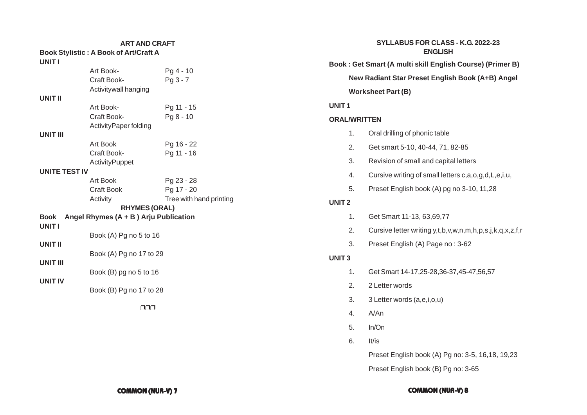# **ART AND CRAFT**

| <b>UNITI</b>         | <b>Book Stylistic: A Book of Art/Craft A</b> |                         |
|----------------------|----------------------------------------------|-------------------------|
|                      | Art Book-                                    | $Pq4 - 10$              |
|                      | Craft Book-                                  | $Pg3 - 7$               |
|                      | Activitywall hanging                         |                         |
| <b>UNIT II</b>       |                                              |                         |
|                      | Art Book-                                    | Pg 11 - 15              |
|                      | Craft Book-                                  | $Pq8 - 10$              |
|                      | ActivityPaper folding                        |                         |
| <b>UNIT III</b>      |                                              |                         |
|                      | Art Book                                     | Pg 16 - 22              |
|                      | Craft Book-                                  | Pg 11 - 16              |
|                      | <b>ActivityPuppet</b>                        |                         |
| <b>UNITE TEST IV</b> |                                              |                         |
|                      | Art Book                                     | Pg 23 - 28              |
|                      | <b>Craft Book</b>                            | Pg 17 - 20              |
|                      | Activity                                     | Tree with hand printing |
|                      | <b>RHYMES (ORAL)</b>                         |                         |
| <b>Book</b>          | Angel Rhymes $(A + B)$ Arju Publication      |                         |
| <b>UNIT I</b>        |                                              |                         |
|                      | Book (A) Pg no 5 to 16                       |                         |
| UNIT II              |                                              |                         |
|                      | Book (A) Pg no 17 to 29                      |                         |
| UNIT III             |                                              |                         |
|                      | Book (B) pg no 5 to 16                       |                         |
| <b>UNIT IV</b>       |                                              |                         |
|                      | Book (B) Pg no 17 to 28                      |                         |
|                      |                                              |                         |
|                      |                                              |                         |

|                   | SYLLABUS FOR CLASS - K.G. 2022-23<br><b>ENGLISH</b> |                                                             |  |  |
|-------------------|-----------------------------------------------------|-------------------------------------------------------------|--|--|
|                   |                                                     | Book: Get Smart (A multi skill English Course) (Primer B)   |  |  |
|                   |                                                     | New Radiant Star Preset English Book (A+B) Angel            |  |  |
|                   |                                                     | <b>Worksheet Part (B)</b>                                   |  |  |
| UNIT <sub>1</sub> |                                                     |                                                             |  |  |
|                   | <b>ORAL/WRITTEN</b>                                 |                                                             |  |  |
|                   | 1.                                                  | Oral drilling of phonic table                               |  |  |
|                   | 2.                                                  | Get smart 5-10, 40-44, 71, 82-85                            |  |  |
|                   | 3.                                                  | Revision of small and capital letters                       |  |  |
|                   | 4.                                                  | Cursive writing of small letters c, a, o, g, d, L, e, i, u, |  |  |
|                   | 5.                                                  | Preset English book (A) pg no 3-10, 11,28                   |  |  |
| UNIT <sub>2</sub> |                                                     |                                                             |  |  |
|                   | 1.                                                  | Get Smart 11-13, 63, 69, 77                                 |  |  |
|                   | 2.                                                  | Cursive letter writing y,t,b,v,w,n,m,h,p,s,j,k,q,x,z,f,r    |  |  |
|                   | 3.                                                  | Preset English (A) Page no: 3-62                            |  |  |
| <b>UNIT3</b>      |                                                     |                                                             |  |  |
|                   | 1.                                                  | Get Smart 14-17,25-28,36-37,45-47,56,57                     |  |  |
|                   | 2.                                                  | 2 Letter words                                              |  |  |
|                   | 3.                                                  | 3 Letter words (a,e,i,o,u)                                  |  |  |
|                   | 4.                                                  | A/An                                                        |  |  |
|                   | 5.                                                  | In/On                                                       |  |  |

6. It/is

Preset English book (A) Pg no: 3-5, 16,18, 19,23

Preset English book (B) Pg no: 3-65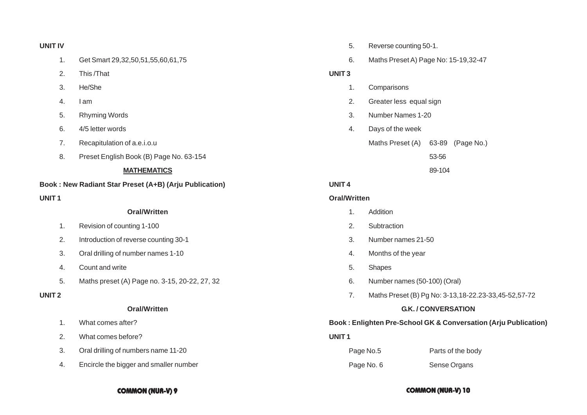### **UNIT IV**

- 1. Get Smart 29,32,50,51,55,60,61,75
- 2. This /That
- 3. He/She
- 4. I am
- 5. Rhyming Words
- 6. 4/5 letter words
- 7. Recapitulation of a.e.i.o.u
- 8. Preset English Book (B) Page No. 63-154

### **MATHEMATICS**

### **Book : New Radiant Star Preset (A+B) (Arju Publication)**

### **UNIT 1**

### **Oral/Written**

- 1. Revision of counting 1-100
- 2. Introduction of reverse counting 30-1
- 3. Oral drilling of number names 1-10
- 4. Count and write
- 5. Maths preset (A) Page no. 3-15, 20-22, 27, 32

### **UNIT 2**

### **Oral/Written**

- 1. What comes after?
- 2. What comes before?
- 3. Oral drilling of numbers name 11-20
- 4. Encircle the bigger and smaller number
- 5. Reverse counting 50-1.
- 6. Maths Preset A) Page No: 15-19,32-47

### **UNIT 3**

- 1. Comparisons
- 2. Greater less equal sign
- 3. Number Names 1-20
- 4. Days of the week

Maths Preset (A) 63-89 (Page No.)

53-56

89-104

# **UNIT 4**

### **Oral/Written**

- 1. Addition
- 2. Subtraction
- 3. Number names 21-50
- 4. Months of the year
- 5. Shapes
- 6. Number names (50-100) (Oral)
- 7. Maths Preset (B) Pg No: 3-13,18-22.23-33,45-52,57-72

### **G.K. / CONVERSATION**

### **Book : Enlighten Pre-School GK & Conversation (Arju Publication)**

### **UNIT 1**

| Page No.5  | Parts of the body |  |
|------------|-------------------|--|
| Page No. 6 | Sense Organs      |  |

### **COMMON (NUR-V) 9 COMMON (NUR-V) 10**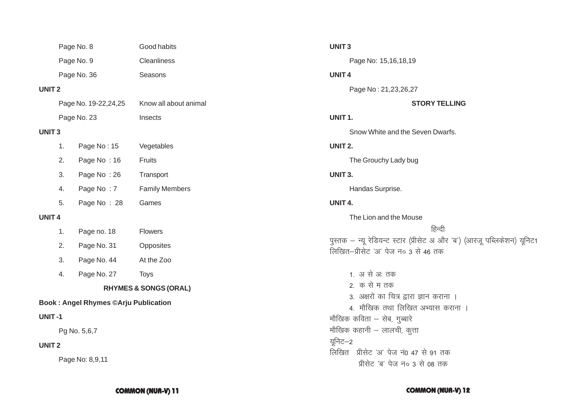|                                             |              | Page No. 8             | Good habits                      | <b>UNIT3</b>                                                                             |
|---------------------------------------------|--------------|------------------------|----------------------------------|------------------------------------------------------------------------------------------|
|                                             |              | Page No. 9             | Cleanliness                      | Page No: 15,16,18,19                                                                     |
|                                             |              | Page No. 36            | Seasons                          | <b>UNIT4</b>                                                                             |
| <b>UNIT2</b>                                |              |                        |                                  | Page No: 21,23,26,27                                                                     |
|                                             |              | Page No. 19-22, 24, 25 | Know all about animal            | <b>STORY TELLING</b>                                                                     |
|                                             |              | Page No. 23            | Insects                          | UNIT <sub>1</sub> .                                                                      |
| <b>UNIT3</b>                                |              |                        |                                  | Snow White and the Seven Dwarfs.                                                         |
|                                             | 1.           | Page No: 15            | Vegetables                       | UNIT <sub>2.</sub>                                                                       |
|                                             | 2.           | Page No: 16            | Fruits                           | The Grouchy Lady bug                                                                     |
|                                             | 3.           | Page No: 26            | Transport                        | UNIT <sub>3</sub> .                                                                      |
|                                             | 4.           | Page No: 7             | <b>Family Members</b>            | Handas Surprise.                                                                         |
|                                             | 5.           | Page No: 28            | Games                            | UNIT 4.                                                                                  |
| <b>UNIT4</b>                                |              |                        |                                  | The Lion and the Mouse                                                                   |
|                                             | 1.           | Page no. 18            | Flowers                          | हिन्दी                                                                                   |
|                                             | 2.           | Page No. 31            | Opposites                        | पुस्तक – न्यू रेडियन्ट स्टार (प्रीसेट अ और 'ब') (<br>लिखित-प्रीसेट 'अ' पेज न० 3 से 46 तक |
|                                             | 3.           | Page No. 44            | At the Zoo                       |                                                                                          |
|                                             | 4.           | Page No. 27            | <b>Toys</b>                      | 1. अ से अः तक                                                                            |
|                                             |              |                        | <b>RHYMES &amp; SONGS (ORAL)</b> | 2. क से म तक                                                                             |
| <b>Book: Angel Rhymes ©Arju Publication</b> |              |                        |                                  | 3. अक्षरों का चित्र द्वारा ज्ञान कराना ।<br>4. मौखिक तथा लिखित अभ्यास कराना ।            |
| <b>UNIT-1</b>                               |              |                        |                                  | मौखिक कविता – सेब, गुब्बारे                                                              |
| Pg No. 5,6,7                                |              |                        |                                  | मौखिक कहानी – लालची, कुत्ता                                                              |
|                                             | <b>UNIT2</b> |                        |                                  | यूनिट–2                                                                                  |
|                                             |              | Page No: 8,9,11        |                                  | लिखित प्रीसेट 'अ' पेज नं0 47 से 91 तक<br>प्रीसेट 'ब' पेज न० 3 से 08 तक                   |
|                                             |              |                        |                                  |                                                                                          |

# $27$ **STORY TELLING** Seven Dwarfs. ug use हिन्दी<br>प्रीसेट अ और 'ब') (आरजू पब्लिकेशन) यूनिट1 से 46 तक ज्ञान कराना ।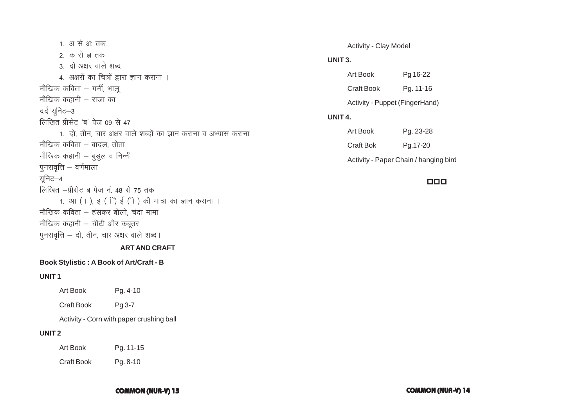1. अ से अः तक 2. क से ज तक 3. दो अक्षर वाले शब्द 4. अक्षरों का चित्रों द्वारा ज्ञान कराना । मौखिक कविता  $-$  गर्मी, भालू मौखिक कहानी – राजा का दर्द यूनिट–3 लिखित प्रीसेट 'ब' पेज  $09$  से 47 1. दो, तीन, चार अक्षर वाले शब्दों का ज्ञान कराना व अभ्यास कराना मौखिक कविता – बादल, तोता मौखिक कहानी  $-$  बुडुल व निन्नी पुनरावृत्ति  $-$  वर्णमाला यूनिट–4 लिखित –प्रीसेट ब पेज नं. 48 से 75 तक 1. आ ( ा ), इ ( ्) ई (ी ) की मात्रा का ज्ञान कराना । मौखिक कविता – हंसकर बोलो, चंदा मामा मौखिक कहानी  $-$  चींटी और कबूतर पुनरावृत्ति  $-$  दो, तीन, चार अक्षर वाले शब्द।

### **ART AND CRAFT**

### **Book Stylistic : A Book of Art/Craft - B**

### **UNIT 1**

Art Book Pg. 4-10

Craft Book Pg 3-7

Activity - Corn with paper crushing ball

# **UNIT 2**

Art Book Pg. 11-15

Craft Book Pg. 8-10

### Activity - Clay Model

### **UNIT 3.**

| Art Book   | Pg 16-22                       |
|------------|--------------------------------|
| Craft Book | Pg. 11-16                      |
|            | Activity - Puppet (FingerHand) |

### **UNIT 4.**

| Art Book  | Pg. 23-28                             |
|-----------|---------------------------------------|
| Craft Bok | Pa.17-20                              |
|           | Activity - Paper Chain / hanging bird |

### 000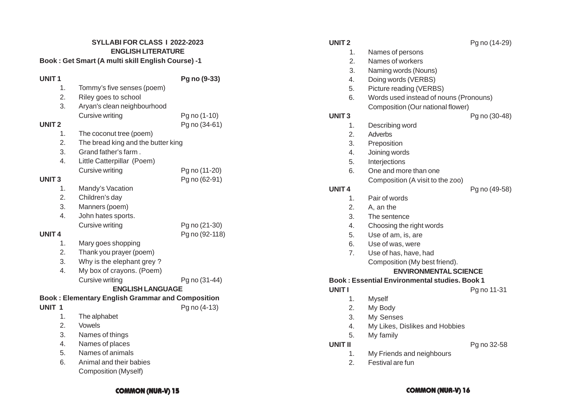### **SYLLABI FOR CLASS I 2022-2023 ENGLISH LITERATURE**

### **Book : Get Smart (A multi skill English Course) -1**

# **UNIT 1 Pg no (9-33)**

|                   |    |                                                         | $9 - 0 - 0$    |
|-------------------|----|---------------------------------------------------------|----------------|
|                   | 1. | Tommy's five senses (poem)                              |                |
|                   | 2. | Riley goes to school                                    |                |
|                   | 3. | Aryan's clean neighbourhood                             |                |
|                   |    | <b>Cursive writing</b>                                  | Pg no (1-10)   |
| <b>UNIT2</b>      |    |                                                         | Pg no (34-61)  |
|                   | 1. | The coconut tree (poem)                                 |                |
|                   | 2. | The bread king and the butter king                      |                |
|                   | 3. | Grand father's farm.                                    |                |
|                   | 4. | Little Catterpillar (Poem)                              |                |
|                   |    | <b>Cursive writing</b>                                  | Pg no (11-20)  |
| <b>UNIT3</b>      |    |                                                         | Pg no (62-91)  |
|                   | 1. | Mandy's Vacation                                        |                |
|                   | 2. | Children's day                                          |                |
|                   | 3. | Manners (poem)                                          |                |
|                   | 4. | John hates sports.                                      |                |
|                   |    | <b>Cursive writing</b>                                  | Pg no (21-30)  |
| <b>UNIT4</b>      |    |                                                         | Pg no (92-118) |
|                   | 1. | Mary goes shopping                                      |                |
|                   | 2. | Thank you prayer (poem)                                 |                |
|                   | 3. | Why is the elephant grey?                               |                |
|                   | 4. | My box of crayons. (Poem)                               |                |
|                   |    | <b>Cursive writing</b>                                  | Pg no (31-44)  |
|                   |    | <b>ENGLISH LANGUAGE</b>                                 |                |
|                   |    | <b>Book: Elementary English Grammar and Composition</b> |                |
| UNIT <sub>1</sub> |    |                                                         | Pg no (4-13)   |
|                   | 1. | The alphabet                                            |                |
|                   | 2. | Vowels                                                  |                |
|                   | 3. | Names of things                                         |                |

- 4. Names of places
- 5. Names of animals
- 6. Animal and their babies Composition (Myself)

- 1. Names of persons
- 2. Names of workers
- 3. Naming words (Nouns)
- 4. Doing words (VERBS)
- 5. Picture reading (VERBS)
- 6. Words used instead of nouns (Pronouns) Composition (Our national flower)

# **UNIT 3** Pg no (30-48)

- 1. Describing word
- 2. Adverbs
- 3. Preposition
- 4. Joining words
- 5. Interjections
- 6. One and more than one Composition (A visit to the zoo)

# **UNIT 4** Pg no (49-58)

- 1. Pair of words
- 2. A, an the
- 3. The sentence
- 4. Choosing the right words
- 5. Use of am, is, are
- 6. Use of was, were
- 7. Use of has, have, had Composition (My best friend).

# **ENVIRONMENTAL SCIENCE**

### **Book : Essential Environmental studies. Book 1**

# **UNIT I** Pg no 11-31

- 1. Myself
- 2. My Body
- 3. My Senses
- 4. My Likes, Dislikes and Hobbies
- 5. My family

### **UNIT II** Pg no 32-58

- 1. My Friends and neighbours
- 2. Festival are fun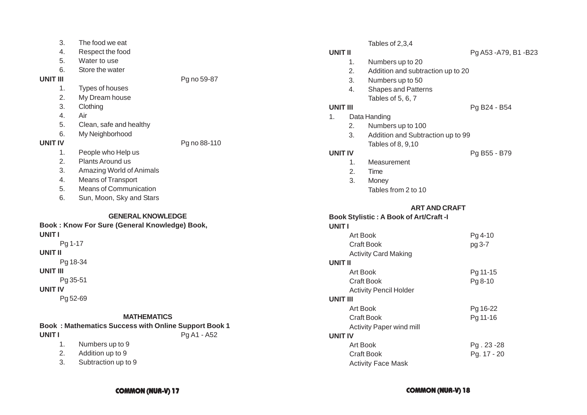| 3.       | The food we eat               |              |
|----------|-------------------------------|--------------|
| 4.       | Respect the food              |              |
| 5.       | Water to use                  |              |
| 6.       | Store the water               |              |
| UNIT III |                               | Pg no 59-87  |
| 1.       | Types of houses               |              |
| 2.       | My Dream house                |              |
| 3.       | Clothing                      |              |
| 4.       | Air                           |              |
| 5.       | Clean, safe and healthy       |              |
| 6.       | My Neighborhood               |              |
| UNIT IV  |                               | Pg no 88-110 |
| 1.       | People who Help us            |              |
| 2.       | Plants Around us              |              |
| 3.       | Amazing World of Animals      |              |
| 4.       | Means of Transport            |              |
| 5.       | <b>Means of Communication</b> |              |
| 6.       | Sun, Moon, Sky and Stars      |              |
|          |                               |              |

### **GENERAL KNOWLEDGE**

### **Book : Know For Sure (General Knowledge) Book, UNIT I**

Pg 1-17 **UNIT II** Pg 18-34 **UNIT III** Pg 35-51 **UNIT IV** Pg 52-69

### **MATHEMATICS**

# **Book : Mathematics Success with Online Support Book 1 UNIT I** Pg A1 - A52

- 1. Numbers up to 9
- 2. Addition up to 9
- 3. Subtraction up to 9

|                 |         | Tables of 2,3,4                               |                        |
|-----------------|---------|-----------------------------------------------|------------------------|
| <b>UNIT II</b>  |         |                                               | Pg A53 - A79, B1 - B23 |
|                 | 1.      | Numbers up to 20                              |                        |
|                 | 2.      | Addition and subtraction up to 20             |                        |
|                 | 3.      | Numbers up to 50                              |                        |
|                 | 4.      | <b>Shapes and Patterns</b>                    |                        |
|                 |         | Tables of 5, 6, 7                             |                        |
| <b>UNIT III</b> |         |                                               | Pg B24 - B54           |
| 1.              |         | Data Handing                                  |                        |
|                 | 2.      | Numbers up to 100                             |                        |
|                 | 3.      | Addition and Subtraction up to 99             |                        |
|                 |         | Tables of 8, 9,10                             |                        |
|                 | UNIT IV |                                               | Pg B55 - B79           |
|                 | 1.      | Measurement                                   |                        |
|                 | 2.      | Time                                          |                        |
|                 | 3.      | Money                                         |                        |
|                 |         | Tables from 2 to 10                           |                        |
|                 |         | <b>ART AND CRAFT</b>                          |                        |
|                 |         | <b>Book Stylistic: A Book of Art/Craft -I</b> |                        |
| <b>UNIT I</b>   |         |                                               |                        |
|                 |         | Art Book                                      | Pg 4-10                |
|                 |         | <b>Craft Book</b>                             | pg 3-7                 |
|                 |         | <b>Activity Card Making</b>                   |                        |
| <b>UNIT II</b>  |         |                                               |                        |
|                 |         | Art Book                                      | Pg 11-15               |
|                 |         | <b>Craft Book</b>                             | Pg 8-10                |
|                 |         | <b>Activity Pencil Holder</b>                 |                        |
| <b>UNIT III</b> |         |                                               |                        |
|                 |         | <b>Art Book</b>                               | Pg 16-22               |
|                 |         | <b>Craft Book</b>                             | Pg 11-16               |
|                 |         | <b>Activity Paper wind mill</b>               |                        |
|                 |         |                                               |                        |

# **UNIT IV**

| Art Book                  | Pg. 23 - 28 |
|---------------------------|-------------|
| Craft Book                | Pg. 17 - 20 |
| <b>Activity Face Mask</b> |             |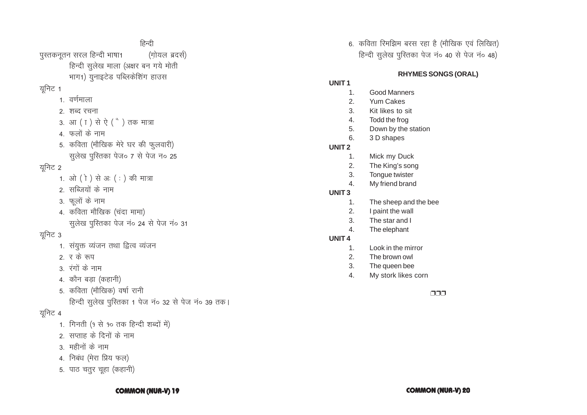### **COMMON (NUR-V) 19**

- 5. पाठ चतुर चूहा (कहानी)
- 4. निबंध (मेरा प्रिय फल)
- 3. महीनों के नाम
- २) सप्ताह के दिनों के नाम
- 1. गिनती (१ से १० तक हिन्दी शब्दों में)

# युनिट 4

- हिन्दी सुलेख पुस्तिका 1 पेज नं० 32 से पेज नं० 39 तक।
- 5. कविता (मौखिक) वर्षा रानी
- 4. कौन बडा (कहानी)
- 3. रंगों के नाम
- २ र के रूप
- 1. संयुक्त व्यंजन तथा द्वित्व व्यंजन

# यूनिट 3

- सुलेख पुस्तिका पेज नं० 24 से पेज नं० 31
- 4. कविता मौखिक (चंदा मामा)
- 3. फूलों के नाम
- २ सब्जियों के नाम
- 1. ओ (ो) से अः (:) की मात्रा

# यनिट 2

- सुलेख पुस्तिका पेज० 7 से पेज न० 25
- 5. कविता (मौखिक मेरे घर की फुलवारी)
- 4. फलों के नाम
- 3. आ (T) से ऐ (<sup>\*</sup>) तक मात्रा
- २. शब्द रचना
- 1. वर्णमाला

# यूनिट 1

हिन्दी पस्तकनतन सरल हिन्दी भाषा1 (गोयल ब्रदर्स) हिन्दी सुलेख माला (अक्षर बन गये मोती भाग1) युनाइटेड पब्लिकेशिंग हाउस

### **COMMON (NUR-V) 20**

# ררה

- My stork likes corn  $\overline{4}$ .
- The queen bee  $3.$
- $\mathcal{P}$ The brown owl
- $\mathbf{1}$ . Look in the mirror

### **UNIT4**

- $\overline{4}$ . The elephant
- $3.$ The star and I
- $2.$ I paint the wall
- The sheep and the bee  $1.$
- UNIT<sub>3</sub>
- My friend brand  $\overline{4}$
- $3.$ Tongue twister
- $2.$ The King's song
- $1<sub>1</sub>$ Mick my Duck

# UNIT<sub>2</sub>

- 
- 6. 3 D shapes
- Down by the station  $5<sub>1</sub>$
- $4.$ Todd the frog
- $3.$ Kit likes to sit
- $2.$ **Yum Cakes**
- 
- **Good Manners**

- UNIT<sub>1</sub>  $\mathbf{1}$ .
	-
- 6. कविता रिमझिम बरस रहा है (मौखिक एवं लिखित) हिन्दी सुलेख पुस्तिका पेज नं० 40 से पेज नं० 48)

**RHYMES SONGS (ORAL)**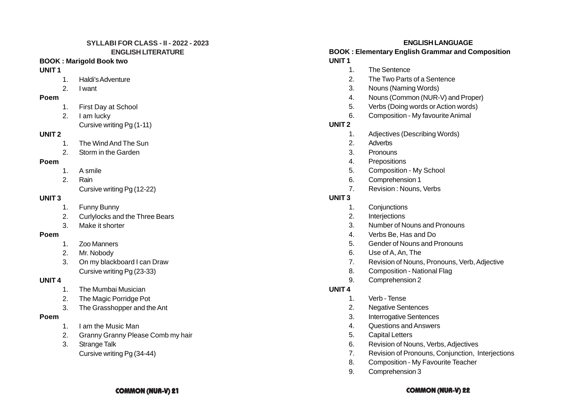### **SYLLABI FOR CLASS - II - 2022 - 2023 ENGLISH LITERATURE**

### **BOOK : Marigold Book two**

### **UNIT 1**

- 1. Haldi's Adventure
- 2. I want

### **Poem**

- 1. First Day at School
- 2. I am lucky Cursive writing Pg (1-11)

### **UNIT 2**

- 1. The Wind And The Sun
- 2. Storm in the Garden

### **Poem**

- 1. A smile
- 2. Rain
	- Cursive writing Pg (12-22)

### **UNIT 3**

- 1. Funny Bunny
- 2. Curlylocks and the Three Bears
- 3. Make it shorter

### **Poem**

- 1. Zoo Manners
- 2. Mr. Nobody
- 3. On my blackboard I can Draw Cursive writing Pg (23-33)

### **UNIT 4**

- 1. The Mumbai Musician
- 2. The Magic Porridge Pot
- 3. The Grasshopper and the Ant

### **Poem**

- 1. I am the Music Man
- 2. Granny Granny Please Comb my hair
- 3. Strange Talk

# Cursive writing Pg (34-44)

# **ENGLISH LANGUAGE**

### **BOOK : Elementary English Grammar and Composition UNIT 1**

- 1. The Sentence
- 2. The Two Parts of a Sentence
- 3. Nouns (Naming Words)
- 4. Nouns (Common (NUR-V) and Proper)
- 5. Verbs (Doing words or Action words)
- 6. Composition My favourite Animal

# **UNIT 2**

- 1. Adjectives (Describing Words)
- 2. Adverbs
- 3. Pronouns
- 4. Prepositions
- 5. Composition My School
- 6. Comprehension 1
- 7. Revision : Nouns, Verbs

# **UNIT 3**

- 1. Conjunctions
- 2. Interjections
- 3. Number of Nouns and Pronouns
- 4. Verbs Be, Has and Do
- 5. Gender of Nouns and Pronouns
- 6. Use of A, An, The
- 7. Revision of Nouns, Pronouns, Verb, Adjective
- 8. Composition National Flag
- 9. Comprehension 2

### **UNIT 4**

- 1. Verb Tense
- 2. Negative Sentences
- 3. Interrogative Sentences
- 4. Questions and Answers
- 5. Capital Letters
- 6. Revision of Nouns, Verbs, Adjectives
- 7. Revision of Pronouns, Conjunction, Interjections
- 8. Composition My Favourite Teacher
- 9. Comprehension 3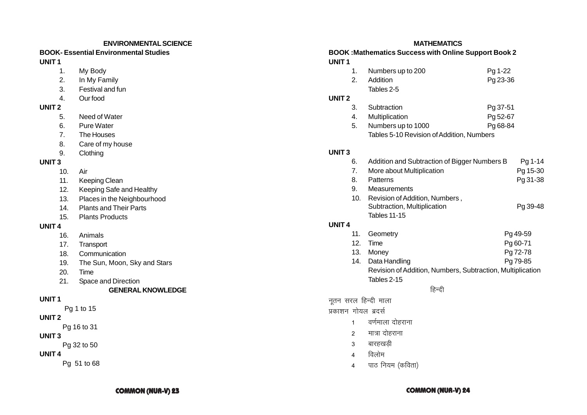### **ENVIRONMENTAL SCIENCE**

### **BOOK- Essential Environmental Studies UNIT 1**

- 1. My Body
- 2. In My Family
- 3. Festival and fun
- 4. Our food

### **UNIT 2**

- 5. Need of Water
- 6. Pure Water
- 7. The Houses
- 8. Care of my house
- 9. Clothing

# **UNIT 3**

- 10. Air
- 11. Keeping Clean
- 12. Keeping Safe and Healthy
- 13. Places in the Neighbourhood
- 14. Plants and Their Parts
- 15. Plants Products

# **UNIT 4**

- 16. Animals
- 17. Transport
- 18. Communication
- 19. The Sun, Moon, Sky and Stars
- 20. Time
- 21. Space and Direction

# **GENERAL KNOWLEDGE**

# **UNIT 1**

Pg 1 to 15

# **UNIT 2**

Pg 16 to 31

# **UNIT 3**

Pg 32 to 50

# **UNIT 4**

Pg 51 to 68

# **MATHEMATICS**

### **BOOK :Mathematics Success with Online Support Book 2 UNIT 1**

|    | 1. Numbers up to 200 | Pg 1-22  |
|----|----------------------|----------|
| 2. | Addition             | Pg 23-36 |
|    | Tables 2-5           |          |

# **UNIT 2**

| 3. | Subtraction           | Pg 37-51 |
|----|-----------------------|----------|
|    | 4. Multiplication     | Pg 52-67 |
|    | 5. Numbers up to 1000 | Pg 68-84 |

Tables 5-10 Revision of Addition, Numbers

# **UNIT 3**

**UNIT 4**

| 6.              | Addition and Subtraction of Bigger Numbers B               | Pg 1-14  |
|-----------------|------------------------------------------------------------|----------|
| 7.              | More about Multiplication                                  | Pg 15-30 |
| 8.              | Patterns                                                   | Pg 31-38 |
| 9.              | Measurements                                               |          |
| 10.             | Revision of Addition, Numbers,                             |          |
|                 | Subtraction, Multiplication                                | Pg 39-48 |
|                 | <b>Tables 11-15</b>                                        |          |
| 4               |                                                            |          |
| 11.             | Geometry                                                   | Pg 49-59 |
| 12 <sub>1</sub> | Pg 60-71<br>Time                                           |          |
| 13.             | Pg 72-78<br>Money                                          |          |
| 14.             | Data Handling<br>Pg 79-85                                  |          |
|                 | Revision of Addition, Numbers, Subtraction, Multiplication |          |
|                 |                                                            |          |

Tables 2-15

# हिन्दी

नूतन सरल हिन्दी माला

प्रकाशन गोयल ब्रदर्स

- 1 वर्णमाला दोहराना
- 2 मात्रा दोहराना
- 3 बारहखडी
- $4$  विलोम
- 4 पाठ नियम (कविता)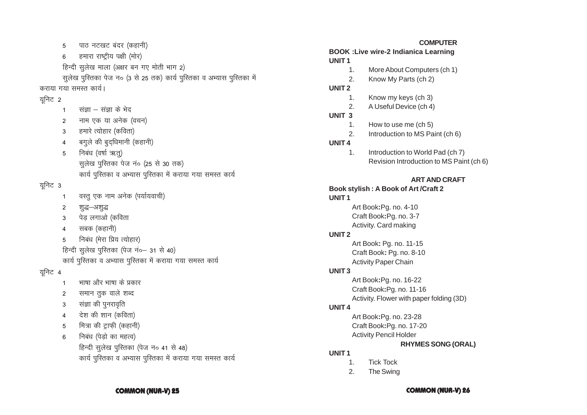### **COMMON (NUR-V) 26**

**RHYMES SONG (ORAL)** 

- हिन्दी सूलेख पुस्तिका (पेज न० 41 से 48) कार्य पुस्तिका व अभ्यास पुस्तिका में कराया गया समस्त कार्य
- निबंध (पेडो का महत्व)  $6\phantom{1}$
- मित्रा की ट्राफी (कहानी)  $\overline{5}$
- देश की शान (कविता)  $\overline{4}$
- संज्ञा की पुनरावृति  $\mathbf{3}$
- समान तुक वाले शब्द  $\overline{2}$
- भाषा और भाषा के प्रकार  $\mathbf{1}$
- यनिट 4
- कार्य पुस्तिका व अभ्यास पुस्तिका में कराया गया समस्त कार्य
- हिन्दी सुलेख पुस्तिका (पेज नं०- 31 से 40)
- निबंध (मेरा प्रिय त्योहार) 5
- सबक (कहानी)  $\overline{4}$
- पेड़ लगाओ (कविता 3
- 2 शद्ध–अश्द्ध
- वस्तु एक नाम अनेक (पर्यायवाची)  $\overline{1}$
- यनिट 3
- निबंध (वर्षा ऋतु) सूलेख पुस्तिका पेज नं० (25 से 30 तक) कार्य पुस्तिका व अभ्यास पुस्तिका में कराया गया समस्त कार्य
- 5
- बगुले की बुद्धिमानी (कहानी)  $\overline{4}$
- हमारे त्योहार (कविता)  $\mathcal{R}$
- नाम एक या अनेक (वचन)  $\overline{2}$
- संज्ञा संज्ञा के भेद  $\overline{1}$
- यूनिट 2
- कराया गया समस्त कार्य।
- हिन्दी सलेख माला (अक्षर बन गए मोती भाग 2) सुलेख पुरितका पेज न० (3 से 25 तक) कार्य पुरितका व अभ्यास पुरितका में
- 
- हमारा राष्ट्रीय पक्षी (मोर) 6
- पाठ नटखट बंदर (कहानी)  $\overline{5}$

# **COMPUTER**

# **BOOK : Live wire-2 Indianica Learning** UNIT<sub>1</sub>

- 
- More About Computers (ch 1)  $\mathbf{1}$ .
- 
- $2.$ Know My Parts (ch 2)

# UNIT<sub>2</sub>

UNIT<sub>3</sub>

UNIT<sub>4</sub>

UNIT<sub>1</sub>

**UNIT2** 

UNIT<sub>3</sub>

**UNIT4** 

UNIT<sub>1</sub>

 $1<sub>1</sub>$ 

 $2.$ 

 $\mathbf{1}$ 

 $2.$ 

 $1<sub>1</sub>$ 

- $\mathbf{1}$ . Know my keys (ch 3)
- 
- 
- 
- 
- A Useful Device (ch 4)
- 
- 
- 
- 

Book stylish: A Book of Art / Craft 2

Art Book: Pg. no. 4-10

Craft Book:Pq. no. 3-7

Activity. Card making

Art Book: Pg. no. 11-15

Craft Book: Pg. no. 8-10

Art Book: Pg. no. 16-22

Art Book: Pg. no. 23-28

**Activity Pencil Holder** 

**Tick Tock** 

The Swing

Craft Book: Pg. no. 17-20

Craft Book: Pg. no. 11-16

Activity. Flower with paper folding (3D)

**Activity Paper Chain** 

- 
- 
- 
- 
- 
- $2.$
- 
- 
- 
- 
- 
- 
- 
- 
- 
- 
- 
- 
- 
- 

How to use me (ch 5)

Introduction to MS Paint (ch 6)

Introduction to World Pad (ch 7)

Revision Introduction to MS Paint (ch 6)

**ART AND CRAFT**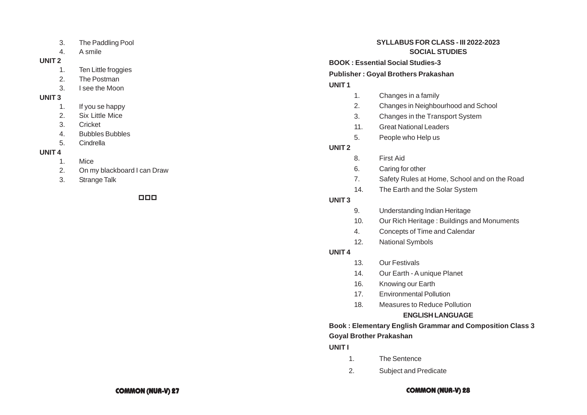- 3. The Paddling Pool
- 4. A smile

### **UNIT 2**

- 1. Ten Little froggies
- 2. The Postman
- 3. I see the Moon

# **UNIT 3**

- 1. If you se happy
- 2. Six Little Mice
- 3. Cricket
- 4. Bubbles Bubbles
- 5. Cindrella

# **UNIT 4**

- 1. Mice
- 2. On my blackboard I can Draw
- 3. Strange Talk

# 000

# **SYLLABUS FOR CLASS - III 2022-2023 SOCIAL STUDIES**

**BOOK : Essential Social Studies-3**

**Publisher : Goyal Brothers Prakashan**

# **UNIT 1**

- 1. Changes in a family
- 2. Changes in Neighbourhood and School
- 3. Changes in the Transport System
- 11. Great National Leaders
- 5. People who Help us

# **UNIT 2**

- 8. First Aid
- 6. Caring for other
- 7. Safety Rules at Home, School and on the Road
- 14. The Earth and the Solar System

# **UNIT 3**

- 9. Understanding Indian Heritage
- 10. Our Rich Heritage : Buildings and Monuments
- 4. Concepts of Time and Calendar
- 12. National Symbols

# **UNIT 4**

- 13. Our Festivals
- 14. Our Earth A unique Planet
- 16. Knowing our Earth
- 17. Environmental Pollution
- 18. Measures to Reduce Pollution

# **ENGLISH LANGUAGE**

# **Book : Elementary English Grammar and Composition Class 3 Goyal Brother Prakashan**

# **UNIT I**

- 1. The Sentence
- 2. Subject and Predicate

### **COMMON (NUR-V) 27 COMMON (NUR-V) 28**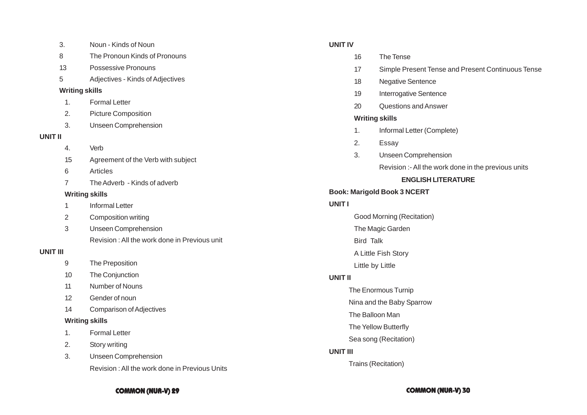|          | 3.                    | Noun - Kinds of Noun                          |
|----------|-----------------------|-----------------------------------------------|
|          | 8                     | The Pronoun Kinds of Pronouns                 |
|          | 13                    | Possessive Pronouns                           |
|          | 5                     | Adjectives - Kinds of Adjectives              |
|          | <b>Writing skills</b> |                                               |
|          | 1.                    | <b>Formal Letter</b>                          |
|          | 2.                    | <b>Picture Composition</b>                    |
|          | 3.                    | <b>Unseen Comprehension</b>                   |
| UNIT II  |                       |                                               |
|          | 4.                    | Verb                                          |
|          | 15                    | Agreement of the Verb with subject            |
|          | 6                     | Articles                                      |
|          | 7                     | The Adverb - Kinds of adverb                  |
|          |                       | <b>Writing skills</b>                         |
|          | 1                     | <b>Informal Letter</b>                        |
|          | 2                     | Composition writing                           |
|          | 3                     | <b>Unseen Comprehension</b>                   |
|          |                       | Revision: All the work done in Previous unit  |
| UNIT III |                       |                                               |
|          | 9                     | The Preposition                               |
|          | $10^{-1}$             | The Conjunction                               |
|          | 11                    | Number of Nouns                               |
|          | 12                    | Gender of noun                                |
|          | 14                    | <b>Comparison of Adjectives</b>               |
|          |                       | <b>Writing skills</b>                         |
|          | 1.                    | <b>Formal Letter</b>                          |
|          | 2.                    | Story writing                                 |
|          | 3.                    | <b>Unseen Comprehension</b>                   |
|          |                       | Revision: All the work done in Previous Units |
|          |                       |                                               |

# **UNIT IV**

- 16 The Tense
- 17 Simple Present Tense and Present Continuous Tense
- 18 Negative Sentence
- 19 Interrogative Sentence
- 20 Questions and Answer

### **Writing skills**

- 1. Informal Letter (Complete)
- 2. Essay
- 3. Unseen Comprehension

Revision :- All the work done in the previous units

### **ENGLISH LITERATURE**

### **Book: Marigold Book 3 NCERT**

# **UNIT I**

Good Morning (Recitation)

- The Magic Garden
- Bird Talk

A Little Fish Story

Little by Little

# **UNIT II**

The Enormous Turnip

Nina and the Baby Sparrow

- The Balloon Man
- The Yellow Butterfly
- Sea song (Recitation)

# **UNIT III**

Trains (Recitation)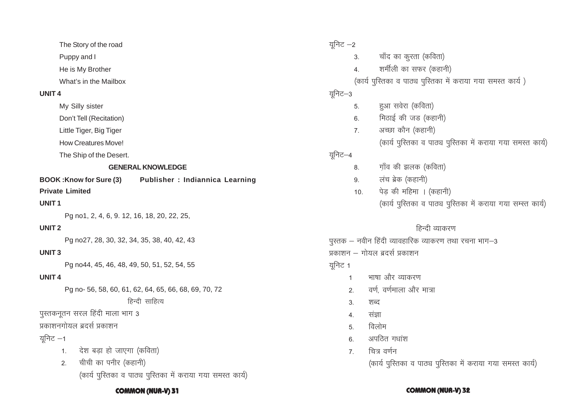The Story of the road

Puppy and I

He is My Brother

What's in the Mailbox

### **UNIT 4**

My Silly sister

Don't Tell (Recitation)

Little Tiger, Big Tiger

How Creatures Move!

The Ship of the Desert.

# **GENERAL KNOWLEDGE**

**BOOK :Know for Sure (3) Publisher : Indiannica Learning**

# **Private Limited**

### **UNIT 1**

Pg no1, 2, 4, 6, 9. 12, 16, 18, 20, 22, 25,

# **UNIT 2**

Pg no27, 28, 30, 32, 34, 35, 38, 40, 42, 43

# **UNIT 3**

Pg no44, 45, 46, 48, 49, 50, 51, 52, 54, 55

# **UNIT 4**

Pg no- 56, 58, 60, 61, 62, 64, 65, 66, 68, 69, 70, 72

# हिन्दी साहित्य

पुस्तकनूतन सरल हिंदी माला भाग 3

प्रकाशनगोयल ब्रदर्स प्रकाशन

# युनिट $-1$

- 1. वेश बड़ा हो जाएगा (कविता)
- 2. वीची का पनीर (कहानी) (कार्य पुस्तिका व पाठ्य पुस्तिका में कराया गया समस्त कार्य)

युनिट $-2$ 3. बॉंद का कूरता (कविता) 4. शर्मीली का सफर (कहानी) (कार्य पुस्तिका व पाठ्य पुस्तिका में कराया गया समस्त कार्य)  $\overline{2}$ निट $-3$ 5. हुआ सवेरा (कविता)  $6.$  मिठाई की जड (कहानी) 7. अच्छा कौन (कहानी) (कार्य पुस्तिका व पाठ्य पुस्तिका में कराया गया समस्त कार्य) यूनिट $-4$ 8. गाँव की झलक (कविता) 9. लंच ब्रेक (कहानी) 10.  $\vec{q}$ पेड की महिमा । (कहानी) (कार्य पुस्तिका व पाठ्य पुस्तिका में कराया गया सम्स्त कार्य) हिन्दी व्याकरण  $\frac{1}{3}$ पुस्तक – नवीन हिंदी व्यावहारिक व्याकरण तथा रचना भाग–3 प्रकाशन – गोयल बदर्स प्रकाशन युनिट $\,$  1 1 – भाषा और व्याकरण 2. वर्ण वर्णमाला और मात्रा 3 शब्द 4 संज्ञा

- $5 \overline{6}$ लोम
- 6. अपठित गधांश
- 7- fp= o.kZu

(कार्य पुस्तिका व पाठ्य पुस्तिका में कराया गया समस्त कार्य)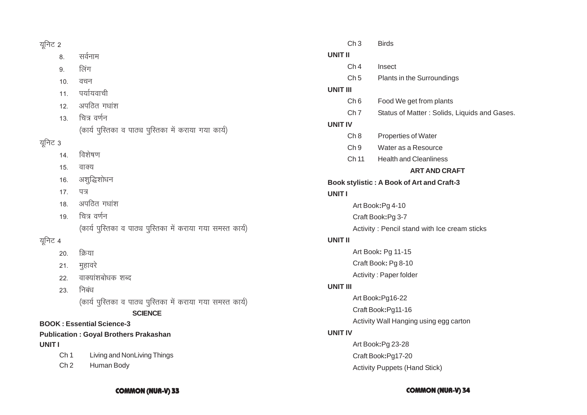# यूनिट $2$

8. सर्वनाम

- 9. लिंग
- 10. वचन
- 11. पर्यायवाची
- 12. अपठित गधांश
- 13. चित्र वर्णन (कार्य पुस्तिका व पाठ्य पुस्तिका में कराया गया कार्य)

# यूनिट 3

- 14. विशेषण
- 15. वाक्य
- 16. अशुद्धिशोधन
- 17. पत्र
- $18.$  अपठित गधांश
- 19. चित्र वर्णन (कार्य पुस्तिका व पाठ्य पुस्तिका में कराया गया समस्त कार्य)

# यूनिट 4

- 20. क्रिया
- 21. मुहावरे
- 22. वाक्यांशबोधक शब्द
- 23. निबंध (कार्य पुरितका व पाठ्य पुरितका में कराया गया समस्त कार्य)

# **SCIENCE**

# **BOOK : Essential Science-3**

# **Publication : Goyal Brothers Prakashan UNIT I**

- Ch 1 Living and NonLiving Things
- Ch 2 Human Body

|          | Ch3                                          | <b>Birds</b>                                 |  |
|----------|----------------------------------------------|----------------------------------------------|--|
| UNIT II  |                                              |                                              |  |
|          | Ch <sub>4</sub>                              | Insect                                       |  |
|          | Ch <sub>5</sub>                              | Plants in the Surroundings                   |  |
| UNIT III |                                              |                                              |  |
|          | Ch <sub>6</sub>                              | Food We get from plants                      |  |
|          | Ch <sub>7</sub>                              | Status of Matter: Solids, Liquids and Gases. |  |
| UNIT IV  |                                              |                                              |  |
|          | Ch 8                                         | <b>Properties of Water</b>                   |  |
|          | Ch <sub>9</sub>                              | Water as a Resource                          |  |
|          | Ch 11                                        | <b>Health and Cleanliness</b>                |  |
|          |                                              | <b>ART AND CRAFT</b>                         |  |
|          |                                              | Book stylistic : A Book of Art and Craft-3   |  |
| UNIT I   |                                              |                                              |  |
|          | Art Book: Pg 4-10                            |                                              |  |
|          | Craft Book:Pg 3-7                            |                                              |  |
|          | Activity: Pencil stand with Ice cream sticks |                                              |  |
| UNIT II  |                                              |                                              |  |
|          | Art Book: Pg 11-15                           |                                              |  |
|          |                                              | Craft Book: Pg 8-10                          |  |
|          |                                              | Activity: Paper folder                       |  |
| UNIT III |                                              |                                              |  |
|          | Art Book: Pg16-22                            |                                              |  |
|          | Craft Book:Pg11-16                           |                                              |  |
|          | Activity Wall Hanging using egg carton       |                                              |  |
| UNIT IV  |                                              |                                              |  |
|          |                                              | Art Book: Pg 23-28                           |  |
|          |                                              | Craft Book:Pg17-20                           |  |
|          |                                              | <b>Activity Puppets (Hand Stick)</b>         |  |

**COMMON (NUR-V) 33 COMMON (NUR-V) 34**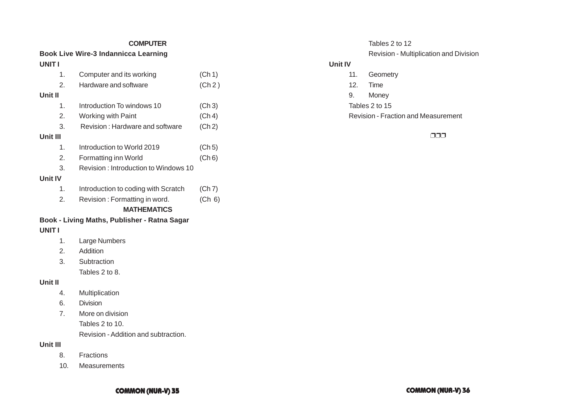### **COMPUTER**

### **Book Live Wire-3 Indannicca Learning UNIT I**

| 1.             | Computer and its working                     | (Ch 1) |
|----------------|----------------------------------------------|--------|
| 2.             | Hardware and software                        | (Ch 2) |
| Unit II        |                                              |        |
| 1.             | Introduction To windows 10                   | (Ch 3) |
| 2.             | <b>Working with Paint</b>                    | (Ch 4) |
| 3.             | Revision: Hardware and software              | (Ch 2) |
| Unit III       |                                              |        |
| 1.             | Introduction to World 2019                   | (Ch 5) |
| 2.             | Formatting inn World                         | (Ch 6) |
| 3.             | Revision: Introduction to Windows 10         |        |
| <b>Unit IV</b> |                                              |        |
| 1 <sub>1</sub> | Introduction to coding with Scratch          | (Ch 7) |
| 2.             | Revision: Formatting in word.                | (Ch 6) |
|                | <b>MATHEMATICS</b>                           |        |
|                | Book - Living Maths, Publisher - Ratna Sagar |        |
| <b>UNITI</b>   |                                              |        |
| 1.             | Large Numbers                                |        |
| 2.             | Addition                                     |        |
| 3.             | Subtraction                                  |        |
|                | Tables 2 to 8.                               |        |
| Unit II        |                                              |        |
| 4.             | Multiplication                               |        |

6. Division

7. More on division Tables 2 to 10. Revision - Addition and subtraction.

**Unit III**

- 8. Fractions
- 10. Measurements

# Tables 2 to 12 Revision - Multiplication and Division

# **Unit IV**

- 11. Geometry
- 12. Time
- 9. Money
- Tables 2 to 15

Revision - Fraction and Measurement

❐❐❐

# **COMMON (NUR-V) 35 COMMON (NUR-V) 36**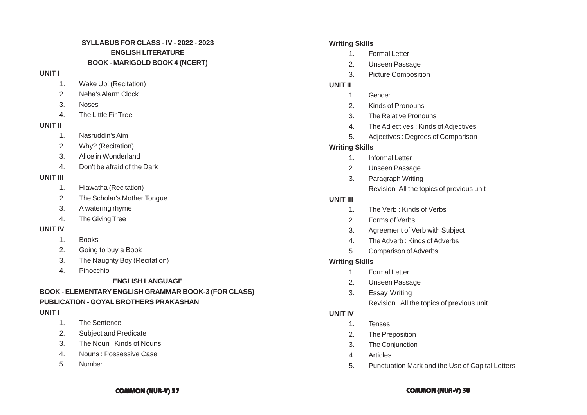# **SYLLABUS FOR CLASS - IV - 2022 - 2023 ENGLISH LITERATURE BOOK - MARIGOLD BOOK 4 (NCERT)**

### **UNIT I**

- 1. Wake Up! (Recitation)
- 2. Neha's Alarm Clock
- 3. Noses
- 4. The Little Fir Tree

### **UNIT II**

- 1. Nasruddin's Aim
- 2. Why? (Recitation)
- 3. Alice in Wonderland
- 4. Don't be afraid of the Dark

# **UNIT III**

- 1. Hiawatha (Recitation)
- 2. The Scholar's Mother Tongue
- 3. A watering rhyme
- 4. The Giving Tree

# **UNIT IV**

- 1. Books
- 2. Going to buy a Book
- 3. The Naughty Boy (Recitation)
- 4. Pinocchio
	- **ENGLISH LANGUAGE**

# **BOOK - ELEMENTARY ENGLISH GRAMMAR BOOK-3 (FOR CLASS) PUBLICATION - GOYAL BROTHERS PRAKASHAN**

# **UNIT I**

- 1. The Sentence
- 2. Subject and Predicate
- 3. The Noun : Kinds of Nouns
- 4. Nouns : Possessive Case
- 5. Number

# **Writing Skills**

- 1. Formal Letter
- 2. Unseen Passage
- 3. Picture Composition

# **UNIT II**

- 1. Gender
- 2. Kinds of Pronouns
- 3. The Relative Pronouns
- 4. The Adjectives : Kinds of Adjectives
- 5. Adjectives : Degrees of Comparison

# **Writing Skills**

- 1. Informal Letter
- 2. Unseen Passage
- 3. Paragraph Writing Revision- All the topics of previous unit

# **UNIT III**

- 1. The Verb : Kinds of Verbs
- 2. Forms of Verbs
- 3. Agreement of Verb with Subject
- 4. The Adverb : Kinds of Adverbs
- 5. Comparison of Adverbs

# **Writing Skills**

- 1. Formal Letter
- 2. Unseen Passage
- 3. Essay Writing
	- Revision : All the topics of previous unit.

# **UNIT IV**

- 1. Tenses
- 2. The Preposition
- 3. The Conjunction
- 4. Articles
- 5. Punctuation Mark and the Use of Capital Letters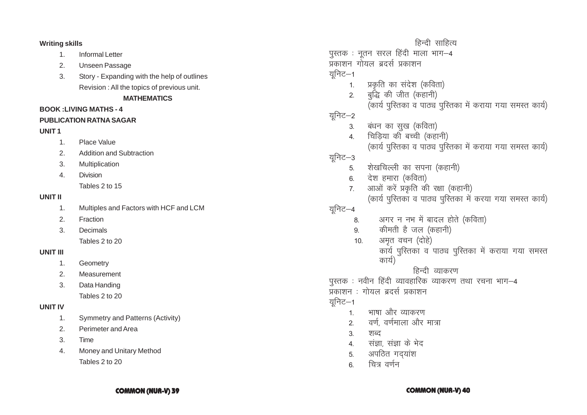**Writing skills** 

- $1.$ **Informal Letter**
- $2.$ **Unseen Passage**
- Story Expanding with the help of outlines  $\mathcal{R}$ Revision : All the topics of previous unit.

### **MATHEMATICS**

# **BOOK: LIVING MATHS - 4**

# **PUBLICATION RATNA SAGAR**

# UNIT<sub>1</sub>

- Place Value  $1<sub>1</sub>$
- $2<sub>1</sub>$ **Addition and Subtraction**
- $3.$ Multiplication
- $\overline{4}$ **Division** Tables 2 to 15

# **UNIT II**

- Multiples and Factors with HCF and LCM  $\mathbf{1}$ .
- $2.$ Fraction
- $\overline{3}$ . Decimals Tables 2 to 20

# **UNIT III**

- $1<sub>1</sub>$ Geometry
- $2.$ Measurement
- $\mathcal{R}$ Data Handing Tables 2 to 20

# **UNIT IV**

- **Symmetry and Patterns (Activity)**  $1<sub>1</sub>$
- $\mathcal{P}$ Perimeter and Area
- Time  $3.$
- Money and Unitary Method  $\overline{4}$ . Tables 2 to 20
- हिन्दी साहित्य पुस्तक : नूतन सरल हिंदी माला भाग-4 प्रकाशन गोयल बदर्स प्रकाशन यनिट $-1$ प्रकृति का संदेश (कविता)  $1.$ बद्धि की जीत (कहानी)  $\overline{2}$ (कार्य पुस्तिका व पाठ्य पुस्तिका में कराया गया समस्त कार्य) यनिट–2 बंधन का सुख (कविता)  $3<sub>1</sub>$ चिडिया की बच्ची (कहानी)  $\overline{4}$ (कार्य पुस्तिका व पाठ्य पुस्तिका में कराया गया समस्त कार्य) यनिट–3 शेखचिल्ली का सपना (कहानी)  $5<sub>1</sub>$ देश हमारा (कविता)  $6.$ आओं करें प्रकृति की रक्षा (कहानी)  $7<sup>7</sup>$ (कार्य पुस्तिका व पाठ्य पुस्तिका में करया गया समस्त कार्य) यूनिट–4 अगर न नभ में बादल होते (कविता) 8. कीमती है जल (कहानी)  $9<sub>1</sub>$ अमृत वचन (दोहे)  $10<sub>1</sub>$ कार्य पुस्तिका व पाठ्य पुस्तिका में कराया गया समस्त कार्य) हिन्दी व्याकरण पुस्तक : नवीन हिंदी व्यावहारिक व्याकरण तथा रचना भाग-4 ्<br>प्रकाशन : गोयल ब्रदर्स प्रकाशन यनिट $-1$ भाषा और व्याकरण  $1$ वर्ण, वर्णमाला और मात्रा  $2<sup>1</sup>$ शब्द  $3<sub>1</sub>$ संज्ञा, संज्ञा के भेद  $\overline{4}$ अपठित गदयांश 5.
	- चित्र वर्णन 6.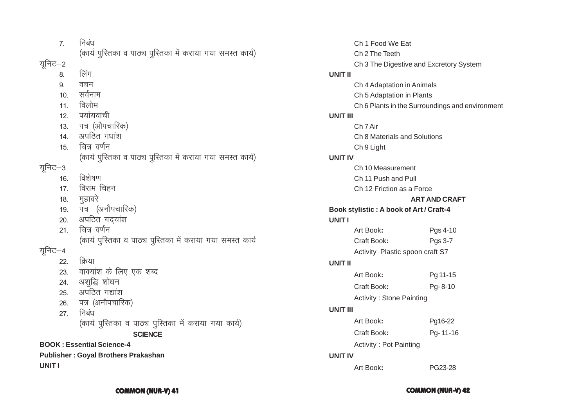|         | 7.  | निबंध                                                       |
|---------|-----|-------------------------------------------------------------|
|         |     | (कार्य पुरितका व पाठ्य पुरितका में कराया गया समस्त कार्य)   |
| यूनिट–2 |     |                                                             |
|         | 8.  | लिंग                                                        |
|         | 9.  | वचन                                                         |
|         | 10. | सर्वनाम                                                     |
|         | 11. | विलोम                                                       |
|         | 12. | पर्यायवाची                                                  |
|         |     | 13. पत्र (औपचारिक)                                          |
|         |     | 14. अपठित गधांश                                             |
|         | 15. | चित्र वर्णन                                                 |
|         |     | (कार्य पुस्तिका व पाठ्य पुस्तिका में कराया गया समस्त कार्य) |
| यूनिट–3 |     |                                                             |
|         | 16. | विशेषण                                                      |
|         | 17. | विराम चिहन                                                  |
|         |     | 18. मुहावरे                                                 |
|         |     | 19. पत्र (अनौपचारिक)                                        |
|         | 20. | अपठित गद्यांश                                               |
|         | 21. | चित्र वर्णन                                                 |
|         |     | (कार्य पुस्तिका व पाठ्य पुस्तिका में कराया गया समस्त कार्य  |
| यूनिट–4 |     |                                                             |
|         | 22. | क्रिया                                                      |
|         | 23. | वाक्यांश के लिए एक शब्द                                     |
|         |     | 24. अशुद्धि शोधन                                            |
|         |     | 25. अपठित गद्यांश                                           |
|         |     | 26. पत्र (अनौपचारिक)                                        |
|         | 27. | निबंध                                                       |
|         |     | (कार्य पुस्तिका व पाठ्य पुस्तिका में कराया गया कार्य)       |
|         |     | <b>SCIENCE</b>                                              |
|         |     | <b>BOOK: Essential Science-4</b>                            |
|         |     | <b>Publisher: Goyal Brothers Prakashan</b>                  |
| UNIT I  |     |                                                             |

|                | Ch 1 Food We Eat                        |                                                 |  |
|----------------|-----------------------------------------|-------------------------------------------------|--|
|                | Ch 2 The Teeth                          |                                                 |  |
|                | Ch 3 The Digestive and Excretory System |                                                 |  |
| UNIT II        |                                         |                                                 |  |
|                | Ch 4 Adaptation in Animals              |                                                 |  |
|                | Ch 5 Adaptation in Plants               |                                                 |  |
|                |                                         | Ch 6 Plants in the Surroundings and environment |  |
| UNIT III       |                                         |                                                 |  |
|                | Ch 7 Air                                |                                                 |  |
|                | Ch 8 Materials and Solutions            |                                                 |  |
|                | Ch 9 Light                              |                                                 |  |
| <b>UNIT IV</b> |                                         |                                                 |  |
|                | Ch 10 Measurement                       |                                                 |  |
|                | Ch 11 Push and Pull                     |                                                 |  |
|                | Ch 12 Friction as a Force               |                                                 |  |
|                |                                         | <b>ART AND CRAFT</b>                            |  |
| <b>UNITI</b>   | Book stylistic: A book of Art / Craft-4 |                                                 |  |
|                | Art Book:                               | Pgs 4-10                                        |  |
|                | Craft Book:                             | Pgs 3-7                                         |  |
|                | Activity Plastic spoon craft S7         |                                                 |  |
| UNIT II        |                                         |                                                 |  |
|                |                                         |                                                 |  |
|                | Art Book:                               | Pg 11-15                                        |  |
|                | Craft Book:                             | Pg-8-10                                         |  |
|                | <b>Activity: Stone Painting</b>         |                                                 |  |
| UNIT III       |                                         |                                                 |  |
|                | Art Book:                               | Pg16-22                                         |  |
|                | Craft Book:                             | Pg-11-16                                        |  |
|                | <b>Activity: Pot Painting</b>           |                                                 |  |
| <b>UNIT IV</b> |                                         |                                                 |  |
|                | Art Book:                               | PG23-28                                         |  |
|                |                                         |                                                 |  |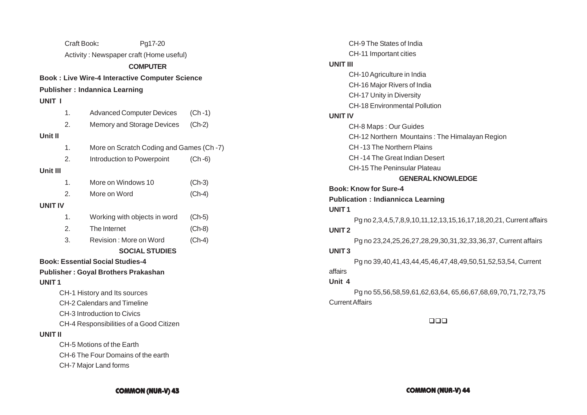|                | Craft Book:                 |                                            | Pg17-20                                               |            |
|----------------|-----------------------------|--------------------------------------------|-------------------------------------------------------|------------|
|                |                             |                                            | Activity: Newspaper craft (Home useful)               |            |
|                |                             |                                            | <b>COMPUTER</b>                                       |            |
|                |                             |                                            | <b>Book: Live Wire-4 Interactive Computer Science</b> |            |
|                |                             | <b>Publisher: Indannica Learning</b>       |                                                       |            |
| UNIT I         |                             |                                            |                                                       |            |
|                | 1.                          |                                            | <b>Advanced Computer Devices</b>                      | $(Ch - 1)$ |
|                | 2.                          |                                            | Memory and Storage Devices                            | $(Ch-2)$   |
| Unit II        |                             |                                            |                                                       |            |
|                | 1.                          |                                            | More on Scratch Coding and Games (Ch-7)               |            |
|                | 2.                          | Introduction to Powerpoint                 |                                                       | $(Ch - 6)$ |
| Unit III       |                             |                                            |                                                       |            |
|                | 1.                          | More on Windows 10                         |                                                       | $(Ch-3)$   |
|                | 2.                          | More on Word                               |                                                       | $(Ch-4)$   |
| <b>UNIT IV</b> |                             |                                            |                                                       |            |
|                | 1.                          |                                            | Working with objects in word                          | $(Ch-5)$   |
|                | 2.                          | The Internet                               |                                                       | $(Ch-8)$   |
|                | 3.                          | Revision: More on Word                     |                                                       | $(Ch-4)$   |
|                |                             |                                            | <b>SOCIAL STUDIES</b>                                 |            |
|                |                             | <b>Book: Essential Social Studies-4</b>    |                                                       |            |
|                |                             | <b>Publisher: Goyal Brothers Prakashan</b> |                                                       |            |
| <b>UNIT1</b>   |                             |                                            |                                                       |            |
|                |                             | CH-1 History and Its sources               |                                                       |            |
|                | CH-2 Calendars and Timeline |                                            |                                                       |            |
|                | CH-3 Introduction to Civics |                                            |                                                       |            |
|                |                             | CH-4 Responsibilities of a Good Citizen    |                                                       |            |
| UNIT II        |                             |                                            |                                                       |            |
|                |                             | CH-5 Motions of the Earth                  |                                                       |            |
|                |                             | CH-6 The Four Domains of the earth         |                                                       |            |
|                |                             | CH-7 Major Land forms                      |                                                       |            |

|                        | CH-9 The States of India                                           |
|------------------------|--------------------------------------------------------------------|
|                        | CH-11 Important cities                                             |
| <b>UNIT III</b>        |                                                                    |
|                        | CH-10 Agriculture in India                                         |
|                        | CH-16 Major Rivers of India                                        |
|                        | CH-17 Unity in Diversity                                           |
|                        | <b>CH-18 Environmental Pollution</b>                               |
| <b>UNIT IV</b>         |                                                                    |
|                        | CH-8 Maps: Our Guides                                              |
|                        | CH-12 Northern Mountains: The Himalayan Region                     |
|                        | CH-13 The Northern Plains                                          |
|                        | CH-14 The Great Indian Desert                                      |
|                        | CH-15 The Peninsular Plateau                                       |
|                        | <b>GENERAL KNOWLEDGE</b>                                           |
|                        | <b>Book: Know for Sure-4</b>                                       |
|                        | <b>Publication : Indiannicca Learning</b>                          |
| <b>UNIT1</b>           |                                                                    |
|                        | Pg no 2,3,4,5,7,8,9,10,11,12,13,15,16,17,18,20,21, Current affairs |
| UNIT <sub>2</sub>      |                                                                    |
|                        | Pg no 23,24,25,26,27,28,29,30,31,32,33,36,37, Current affairs      |
| <b>UNIT3</b>           |                                                                    |
|                        | Pg no 39,40,41,43,44,45,46,47,48,49,50,51,52,53,54, Current        |
| affairs                |                                                                    |
| Unit 4                 |                                                                    |
|                        | Pg no 55,56,58,59,61,62,63,64, 65,66,67,68,69,70,71,72,73,75       |
| <b>Current Affairs</b> |                                                                    |
|                        |                                                                    |
|                        | םםם                                                                |
|                        |                                                                    |
|                        |                                                                    |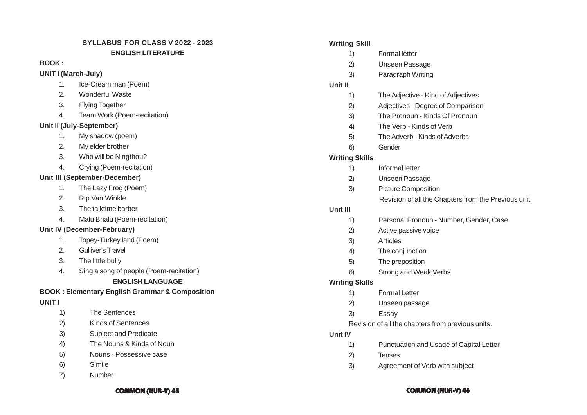# **SYLLABUS FOR CLASS V 2022 - 2023 ENGLISH LITERATURE**

### **BOOK :**

# **UNIT I (March-July)**

- 1. Ice-Cream man (Poem)
- 2. Wonderful Waste
- 3. Flying Together
- 4. Team Work (Poem-recitation)

# **Unit II (July-September)**

- 1. My shadow (poem)
- 2. My elder brother
- 3. Who will be Ningthou?
- 4. Crying (Poem-recitation)

# **Unit III (September-December)**

- 1. The Lazy Frog (Poem)
- 2. Rip Van Winkle
- 3. The talktime barber
- 4. Malu Bhalu (Poem-recitation)

# **Unit IV (December-February)**

- 1. Topey-Turkey land (Poem)
- 2. Gulliver's Travel
- 3. The little bully
- 4. Sing a song of people (Poem-recitation) **ENGLISH LANGUAGE**

# **BOOK : Elementary English Grammar & Composition**

# **UNIT I**

- 1) The Sentences
- 2) Kinds of Sentences
- 3) Subject and Predicate
- 4) The Nouns & Kinds of Noun
- 5) Nouns Possessive case
- 6) Simile
- 7) Number

| <b>Writing Skill</b>  |                                                     |
|-----------------------|-----------------------------------------------------|
| 1)                    | <b>Formal letter</b>                                |
| 2)                    | Unseen Passage                                      |
| 3)                    | Paragraph Writing                                   |
| Unit II               |                                                     |
| 1)                    | The Adjective - Kind of Adjectives                  |
| 2)                    | Adjectives - Degree of Comparison                   |
| 3)                    | The Pronoun - Kinds Of Pronoun                      |
| 4)                    | The Verb - Kinds of Verb                            |
| 5)                    | The Adverb - Kinds of Adverbs                       |
| 6)                    | Gender                                              |
| <b>Writing Skills</b> |                                                     |
| 1)                    | Informal letter                                     |
| 2)                    | Unseen Passage                                      |
| 3)                    | <b>Picture Composition</b>                          |
|                       | Revision of all the Chapters from the Previous unit |
| Unit III              |                                                     |
| 1)                    | Personal Pronoun - Number, Gender, Case             |
| 2)                    | Active passive voice                                |
| 3)                    | <b>Articles</b>                                     |
| 4)                    | The conjunction                                     |
| 5)                    | The preposition                                     |
| 6)                    | Strong and Weak Verbs                               |
| <b>Writing Skills</b> |                                                     |
| 1)                    | <b>Formal Letter</b>                                |
| 2)                    | Unseen passage                                      |
| 3)                    | Essay                                               |
|                       | Revision of all the chapters from previous units.   |
| <b>Unit IV</b>        |                                                     |
| 1)                    | Punctuation and Usage of Capital Letter             |
| 2)                    | <b>Tenses</b>                                       |
| 3)                    | Agreement of Verb with subject                      |
|                       |                                                     |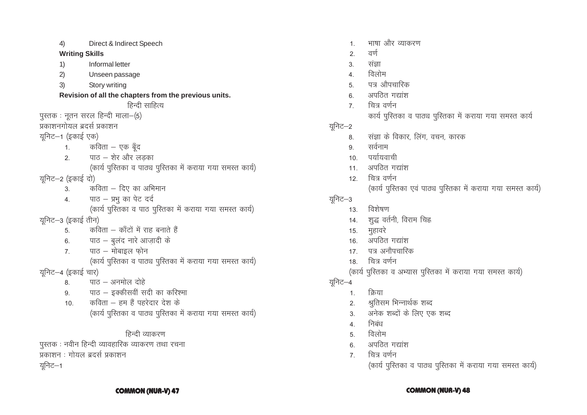### **COMMON (NUR-V) 47 COMMON (NUR-V) 48**

# यूनिट $-1$

पुस्तक : नवीन हिन्दी व्यावहारिक व्याकरण तथा रचना प्रकाशन : गोयल ब्रदर्स प्रकाशन

# हिन्दी व्याकरण

- (कार्य पुस्तिका व पाठ्य पुस्तिका में कराया गया समस्त कार्य)
- 10.  $\overline{q}$  कविता हम हैं पहरेदार देश के
- 9. पाठ इक्कीसवीं सदी का करिश्मा
- $8.$  पाठ अनमोल दोहे
- यूनिट–4 (इकाई चार)
- (कार्य पुस्तिका व पाठ्य पुस्तिका में कराया गया समस्त कार्य)
- $7.$  पाठ मोबाइल फोन
- 6. पाठ बुलंद नारे आज़ादी के
- $5.$ कविता काँटों में राह बनाते हैं
- यूनिट–3 (इकाई तीन)
- (कार्य पुस्तिका व पाठ पुस्तिका में कराया गया समस्त कार्य)
- $4.$  पाठ प्रभु का पेट दर्द
- 3. कविता दिए का अभिमान
- यूनिट–2 (इकाई दो)
- (कार्य पुस्तिका व पाठ्य पुस्तिका में कराया गया समस्त कार्य)
- 2.  $\Box$ पाठ शेर और लडका
- $1.$  कविता एक बूँद
- यूनिट–1 (इकाई एक)
- प्रकाशनगोयल ब्रदर्स प्रकाशन
- $q$ रतक: नूतन सरल हिन्दी माला $-$ (5)
- हिन्दी साहित्य
- **Revision of all the chapters from the previous units.**
- 3) Story writing
- 2) Unseen passage
- 1) Informal letter
- 
- **Writing Skills**
- 4) Direct & Indirect Speech

(कार्य पुस्तिका व पाठ्य पुस्तिका में कराया गया समस्त कार्य)

- $7 \sqrt{2}$ वर्णन
- 6. अपठित गद्यांश
- 5. विलोम
- 4. निबंध
- 3. अनेक शब्दों के लिए एक शब्द
- 2. श्रुतिसम भिन्नार्थक शब्द
- 1. क्रिया
- यूनिट–4
- (कार्य पुस्तिका व अभ्यास पुस्तिका में कराया गया समस्त कार्य)
- 18 वित्र वर्णन
- 17. पत्र अनौपचारिक
- 16. अपठित गद्यांश
- 
- 15. मुहावरे
- 14. शुद्ध वर्तनी, विराम चिह्न
- यूनिट $-3$ 13. विशेषण
- (कार्य पुस्तिका एवं पाठ्य पुस्तिका में कराया गया समस्त कार्य)
- 12. चित्र वर्णन
- $11.$  अपठित गद्यांश
- 10. पर्यायवाची
- 9. सर्वनाम
- 8. संज्ञा के विकार, लिंग, वचन, कारक
- यूनिट–2
- कार्य पुस्तिका व पाठ्य पुस्तिका में कराया गया समस्त कार्य
- 7. वित्र वर्णन
- 6. अपठित गद्यांश
- 5. पत्र औपचारिक
- $\overline{4}$  and and a control and  $\overline{4}$
- 3. संज्ञा
- $2.$  वर्ण
- 1. माषा और व्याकरण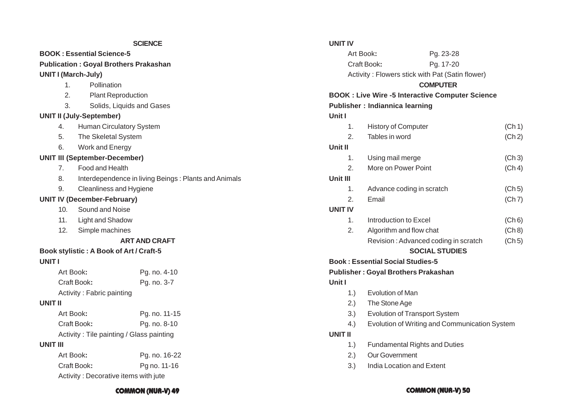|                                              | <b>SCIENCE</b>                                       | <b>UNIT IV</b>                                          |                                               |        |  |
|----------------------------------------------|------------------------------------------------------|---------------------------------------------------------|-----------------------------------------------|--------|--|
| <b>BOOK: Essential Science-5</b>             |                                                      |                                                         | Art Book:<br>Pg. 23-28                        |        |  |
| <b>Publication: Goyal Brothers Prakashan</b> |                                                      |                                                         | Craft Book:<br>Pg. 17-20                      |        |  |
| <b>UNIT I (March-July)</b>                   |                                                      | Activity: Flowers stick with Pat (Satin flower)         |                                               |        |  |
| Pollination<br>1.                            |                                                      |                                                         | <b>COMPUTER</b>                               |        |  |
| 2.<br><b>Plant Reproduction</b>              |                                                      | <b>BOOK : Live Wire -5 Interactive Computer Science</b> |                                               |        |  |
| 3.                                           | Solids, Liquids and Gases                            | <b>Publisher: Indiannica learning</b>                   |                                               |        |  |
| <b>UNIT II (July-September)</b>              |                                                      | Unit I                                                  |                                               |        |  |
| Human Circulatory System<br>4.               |                                                      | 1.                                                      | <b>History of Computer</b>                    | (Ch 1) |  |
| The Skeletal System<br>5.                    |                                                      | 2.                                                      | Tables in word                                | (Ch 2) |  |
| 6.<br>Work and Energy                        |                                                      | Unit II                                                 |                                               |        |  |
| <b>UNIT III (September-December)</b>         |                                                      | 1.                                                      | Using mail merge                              | (Ch 3) |  |
| Food and Health<br>7 <sub>1</sub>            |                                                      | 2.                                                      | More on Power Point                           | (Ch 4) |  |
| 8.                                           | Interdependence in living Beings: Plants and Animals | Unit III                                                |                                               |        |  |
| 9.<br>Cleanliness and Hygiene                |                                                      | 1.                                                      | Advance coding in scratch                     | (Ch 5) |  |
| <b>UNIT IV (December-February)</b>           |                                                      | 2.                                                      | Email<br>(Ch 7)                               |        |  |
| Sound and Noise<br>10.                       |                                                      | <b>UNIT IV</b>                                          |                                               |        |  |
| <b>Light and Shadow</b><br>11.               |                                                      | 1.                                                      | Introduction to Excel                         | (Ch 6) |  |
| 12.<br>Simple machines                       |                                                      | 2.                                                      | Algorithm and flow chat                       | (Ch 8) |  |
|                                              | <b>ART AND CRAFT</b>                                 |                                                         | Revision: Advanced coding in scratch          | (Ch 5) |  |
| Book stylistic: A Book of Art / Craft-5      |                                                      | <b>SOCIAL STUDIES</b>                                   |                                               |        |  |
| <b>UNIT I</b>                                |                                                      | <b>Book: Essential Social Studies-5</b>                 |                                               |        |  |
| Art Book:                                    | Pg. no. 4-10                                         | <b>Publisher: Goyal Brothers Prakashan</b>              |                                               |        |  |
| Craft Book:                                  | Pg. no. 3-7                                          | Unit I                                                  |                                               |        |  |
| Activity: Fabric painting                    |                                                      | 1.                                                      | Evolution of Man                              |        |  |
| <b>UNIT II</b>                               |                                                      | 2.)                                                     | The Stone Age                                 |        |  |
| Art Book:<br>Pg. no. 11-15                   |                                                      | 3.)                                                     | <b>Evolution of Transport System</b>          |        |  |
| Craft Book:<br>Pg. no. 8-10                  |                                                      | 4.)                                                     | Evolution of Writing and Communication System |        |  |
| Activity: Tile painting / Glass painting     |                                                      | <b>UNIT II</b>                                          |                                               |        |  |
| <b>UNIT III</b>                              |                                                      | 1.)                                                     | <b>Fundamental Rights and Duties</b>          |        |  |
| Art Book:                                    | Pg. no. 16-22                                        | 2.)                                                     | Our Government                                |        |  |
| Craft Book:                                  | Pg no. 11-16                                         | 3.)                                                     | India Location and Extent                     |        |  |
| Activity: Decorative items with jute         |                                                      |                                                         |                                               |        |  |

# **COMMON (NUR-V) 49 COMMON (NUR-V) 50**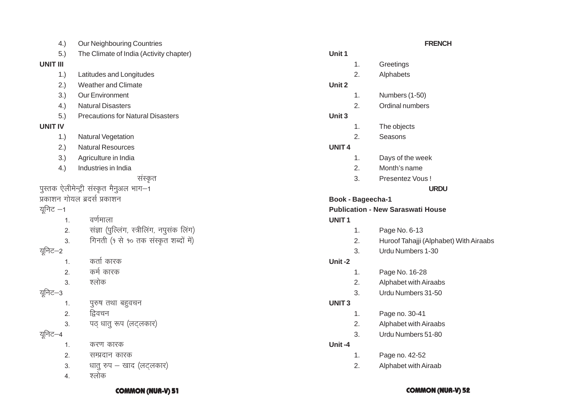### **COMMON (NUR-V) 51 COMMON (NUR-V) 52**

- 4. श्लोक
- 
- $3.$  धातू रुप खाद (लटलकार)
- -
- 

1. करण कारक

- 
- 2. सम्प्रदान कारक
	-

1. पुरुष तथा बहुवचन

3. पठ् धातु रूप (लट्लकार)

- 
- 
- 
- 2. हिवचन
- 
- 
- 
- 
- 
- 
- 
- 
- 
- 
- 
- 
- 
- 
- 
- 
- 
- 
- 
- 
- 3 श्लोक
- यनिट $-2$ 1. कर्ता कारक

2. कर्म कारक

- 2. संज्ञा (पुल्लिंग, स्त्रीलिंग, नपुसंक लिंग) 3. गिनती (१ से १० तक संस्कृत शब्दों में)
- 1. वर्णमाला
- 

संस्कृत

- प्रकाशन गोयल ब्रदर्स प्रकाशन
- 
- 

यूनिट—3

युनिट $-4$ 

- यूनिट $-1$
- पुस्तक ऐलीमेन्ट्री संस्कृत मैनुअल भाग-1
- 3.) Agriculture in India 4.) Industries in India
- 

4.) Our Neighbouring Countries

1.) Latitudes and Longitudes 2.) Weather and Climate 3.) Our Environment

5.) The Climate of India (Activity chapter)

**FRENCH**

**URDU**

2. Huroof Tahajji (Alphabet) With Airaabs

**Unit 1**

**Unit 2**

**Unit 3**

**UNIT 4**

**UNIT 1**

**Unit -2**

**UNIT 3**

**Unit -4**

**Book - Bageecha-1**

1. Greetings 2. Alphabets

1. Numbers (1-50) 2. Ordinal numbers

1. The objects 2. Seasons

1. Days of the week 2. Month's name 3. Presentez Vous !

**Publication - New Saraswati House**

1. Page No. 6-13

1. Page No. 16-28 2. Alphabet with Airaabs 3. Urdu Numbers 31-50

1. Page no. 30-41

1. Page no. 42-52 2. Alphabet with Airaab

2. Alphabet with Airaabs 3. Urdu Numbers 51-80

3. Urdu Numbers 1-30

- 
- 
- 
- 

- 
- 
- 
- 5.) Precautions for Natural Disasters

- 4.) Natural Disasters
- 

# **UNIT IV**

**UNIT III**

- 
- 
- 
- 
- 

- 
- 
- 
- 

# 1.) Natural Vegetation

- 2.) Natural Resources
- 
- 
- 
-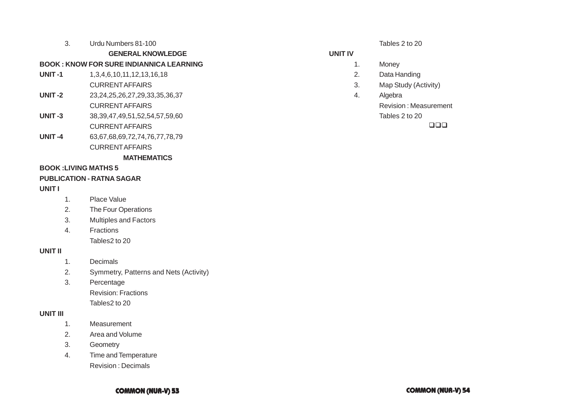### 3. Urdu Numbers 81-100

### **GENERAL KNOWLEDGE**

# **BOOK : KNOW FOR SURE INDIANNICA LEARNING**

- **UNIT -1** 1,3,4,6,10,11,12,13,16,18 CURRENT AFFAIRS
- **UNIT -2** 23,24,25,26,27,29,33,35,36,37 CURRENT AFFAIRS
- **UNIT -3** 38,39,47,49,51,52,54,57,59,60 CURRENT AFFAIRS
- **UNIT -4** 63,67,68,69,72,74,76,77,78,79 CURRENT AFFAIRS

**MATHEMATICS**

### **BOOK :LIVING MATHS 5**

### **PUBLICATION - RATNA SAGAR**

# **UNIT I**

- 1. Place Value
- 2. The Four Operations
- 3. Multiples and Factors
- 4. Fractions

Tables2 to 20

### **UNIT II**

- 1. Decimals
- 2. Symmetry, Patterns and Nets (Activity)
- 3. Percentage Revision: Fractions Tables2 to 20

### **UNIT III**

- 1. Measurement
- 2. Area and Volume
- 3. Geometry
- 4. Time and Temperature Revision : Decimals

Tables 2 to 20

### **UNIT IV**

- 1. Money
- 2. Data Handing
- 3. Map Study (Activity)
- 4. Algebra Revision : Measurement

Tables 2 to 20

 $\Box \Box \Box$ 

**COMMON (NUR-V) 53 COMMON (NUR-V) 54**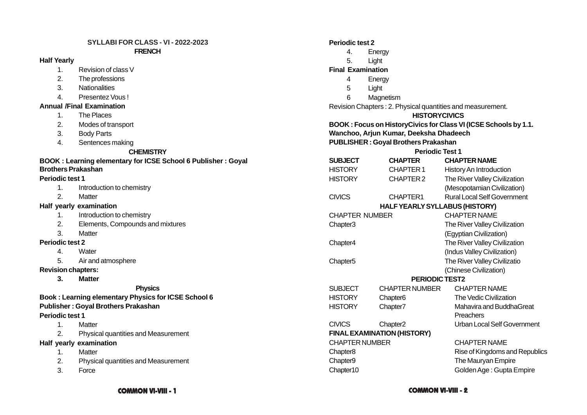### **SYLLABI FOR CLASS - VI - 2022-2023 FRENCH**

### **Half Yearly**

- 1. Revision of class V
- 2. The professions
- 3. Nationalities
- 4. Presentez Vous !

### **Annual /Final Examination**

- 1. The Places
- 2. Modes of transport
- 3. Body Parts
- 4. Sentences making

### **CHEMISTRY**

# **BOOK : Learning elementary for ICSE School 6 Publisher : Goyal Brothers Prakashan**

### **Periodic test 1**

- 1. Introduction to chemistry
- 2. Matter

### **Half yearly examination**

- 1. Introduction to chemistry
- 2. Elements, Compounds and mixtures
- 3. Matter

### **Periodic test 2**

- 4. Water
- 5. Air and atmosphere

**Revision chapters:**

**3. Matter**

### **Physics**

# **Book : Learning elementary Physics for ICSE School 6 Publisher : Goyal Brothers Prakashan Periodic test 1**

- 1. Matter
- 2. Physical quantities and Measurement

### **Half yearly examination**

- 1. Matter
- 2. Physical quantities and Measurement
- 3. Force

### **Periodic test 2**

- 4. Energy
- 5. Light

### **Final Examination**

- 4 Energy
- 5 Light
- 6 Magnetism

Revision Chapters : 2. Physical quantities and measurement.

### **HISTORYCIVICS**

# **BOOK : Focus on HistoryCivics for Class VI (ICSE Schools by 1.1. Wanchoo, Arjun Kumar, Deeksha Dhadeech**

# **PUBLISHER : Goyal Brothers Prakashan**

### **Periodic Test 1**

| <b>SUBJECT</b>        | <b>CHAPTER</b>                     | <b>CHAPTER NAME</b>                |
|-----------------------|------------------------------------|------------------------------------|
| <b>HISTORY</b>        | <b>CHAPTER1</b>                    | History An Introduction            |
| <b>HISTORY</b>        | CHAPTER 2                          | The River Valley Civilization      |
|                       |                                    | (Mesopotamian Civilization)        |
| <b>CIVICS</b>         | CHAPTER1                           | <b>Rural Local Self Government</b> |
|                       | HALF YEARLY SYLLABUS (HISTORY)     |                                    |
| <b>CHAPTER NUMBER</b> |                                    | <b>CHAPTER NAME</b>                |
| Chapter3              |                                    | The River Valley Civilization      |
|                       |                                    | (Egyptian Civilization)            |
| Chapter4              |                                    | The River Valley Civilization      |
|                       |                                    | (Indus Valley Civilization)        |
| Chapter <sub>5</sub>  |                                    | The River Valley Civilizatio       |
|                       |                                    | (Chinese Civilization)             |
|                       | <b>PERIODIC TEST2</b>              |                                    |
| <b>SUBJECT</b>        | <b>CHAPTER NUMBER</b>              | <b>CHAPTER NAME</b>                |
| <b>HISTORY</b>        | Chapter <sub>6</sub>               | The Vedic Civilization             |
| <b>HISTORY</b>        | Chapter7                           | Mahavira and BuddhaGreat           |
|                       |                                    | Preachers                          |
| <b>CIVICS</b>         | Chapter <sub>2</sub>               | Urban Local Self Government        |
|                       | <b>FINAL EXAMINATION (HISTORY)</b> |                                    |
| <b>CHAPTER NUMBER</b> |                                    | <b>CHAPTER NAME</b>                |
| Chapter <sub>8</sub>  |                                    | Rise of Kingdoms and Republics     |
| Chapter9              |                                    | The Mauryan Empire                 |
| Chapter10             |                                    | Golden Age: Gupta Empire           |
|                       |                                    |                                    |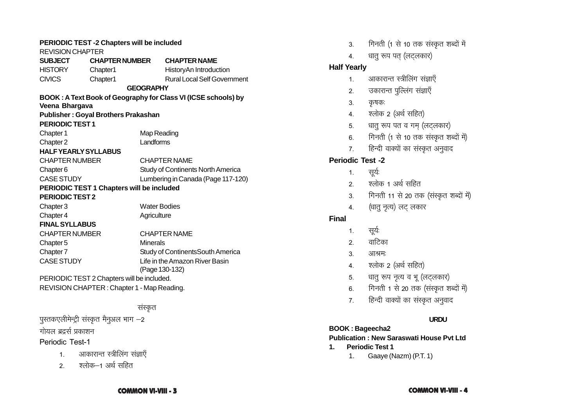| PERIODIC TEST -2 Chapters will be included |                       |                                                               |  |  |
|--------------------------------------------|-----------------------|---------------------------------------------------------------|--|--|
| <b>REVISION CHAPTER</b>                    |                       |                                                               |  |  |
| <b>SUBJECT</b>                             | <b>CHAPTER NUMBER</b> | <b>CHAPTER NAME</b>                                           |  |  |
| <b>HISTORY</b><br>Chapter1                 |                       | HistoryAn Introduction                                        |  |  |
| <b>CIVICS</b><br>Chapter1                  |                       | <b>Rural Local Self Government</b>                            |  |  |
|                                            | <b>GEOGRAPHY</b>      |                                                               |  |  |
|                                            |                       | BOOK: A Text Book of Geography for Class VI (ICSE schools) by |  |  |
| Veena Bhargava                             |                       |                                                               |  |  |
| <b>Publisher: Goyal Brothers Prakashan</b> |                       |                                                               |  |  |
| <b>PERIODIC TEST1</b>                      |                       |                                                               |  |  |
| Chapter 1                                  | Map Reading           |                                                               |  |  |
| Chapter 2                                  | Landforms             |                                                               |  |  |
| <b>HALF YEARLY SYLLABUS</b>                |                       |                                                               |  |  |
| <b>CHAPTER NUMBER</b>                      |                       | <b>CHAPTER NAME</b>                                           |  |  |
| Chapter <sub>6</sub>                       |                       | <b>Study of Continents North America</b>                      |  |  |
| <b>CASE STUDY</b>                          |                       | Lumbering in Canada (Page 117-120)                            |  |  |
| PERIODIC TEST 1 Chapters will be included  |                       |                                                               |  |  |
| <b>PERIODIC TEST 2</b>                     |                       |                                                               |  |  |
| Chapter 3<br><b>Water Bodies</b>           |                       |                                                               |  |  |
| Chapter 4                                  | Agriculture           |                                                               |  |  |
| <b>FINAL SYLLABUS</b>                      |                       |                                                               |  |  |
| <b>CHAPTER NUMBER</b>                      |                       | <b>CHAPTER NAME</b>                                           |  |  |
| Chapter 5                                  | <b>Minerals</b>       |                                                               |  |  |
| Chapter <sub>7</sub>                       |                       | Study of ContinentsSouth America                              |  |  |
| <b>CASE STUDY</b>                          |                       | Life in the Amazon River Basin                                |  |  |
|                                            |                       | (Page 130-132)                                                |  |  |
| PERIODIC TEST 2 Chapters will be included. |                       |                                                               |  |  |
| REVISION CHAPTER: Chapter 1 - Map Reading. |                       |                                                               |  |  |
|                                            |                       |                                                               |  |  |
|                                            | सस्कृत                |                                                               |  |  |
| पुस्तकएलीमेन्ट्री संस्कृत मैनुअल भाग –2    |                       |                                                               |  |  |

गोयल ब्रद्रर्स प्रकाशन

Periodic Test-1

- 1. आकारान्त स्त्रीलिंग संज्ञाएँ
- 2. श्लोक–1 अर्थ सहित

|              | 3.                      | गिनती (1 से 10 तक संस्कृत शब्दों में   |
|--------------|-------------------------|----------------------------------------|
|              | 4.                      | धातु रूप पत् (लट्लकार)                 |
|              | <b>Half Yearly</b>      |                                        |
|              | 1 <sub>1</sub>          | आकारान्त स्त्रीलिंग संज्ञाएँ           |
|              | 2.                      | उकारान्त पुल्लिंग संज्ञाएँ             |
|              | 3. कृषक:                |                                        |
|              | 4.                      | श्लोक 2 (अर्थ सहित)                    |
|              | 5 <sub>1</sub>          | धातु रूप पत व गम् (लट्लकार)            |
|              | 6.                      | गिनती (1 से 10 तक संस्कृत शब्दों में)  |
|              | $\overline{7}$ .        | हिन्दी वाक्यों का संस्कृत अनुवाद       |
|              | <b>Periodic Test -2</b> |                                        |
|              | 1 <sub>1</sub>          | सूर्यः                                 |
|              | 2.                      | श्लोक 1 अर्थ सहित                      |
|              | 3.                      | गिनती 11 से 20 तक (संस्कृत शब्दों में) |
|              | 4.                      | (धातु नृत्य) लट् लकार                  |
| <b>Final</b> |                         |                                        |
|              | 1.                      | सूर्यः                                 |
|              |                         | 2. वाटिका                              |
|              |                         | ३. आश्रमः                              |
|              | 4.                      | श्लोक 2 (अर्थ सहित)                    |
|              | 5 <sup>1</sup>          | धातु रूप नृत्य व भू (लट्लकार)          |
|              | 6.                      | गिनती 1 से 20 तक (संस्कृत शब्दों में)  |
|              | $\overline{7}$ .        | हिन्दी वाक्यों का संस्कृत अनुवाद       |
|              |                         |                                        |

# **URDU**

**BOOK : Bageecha2 Publication : New Saraswati House Pvt Ltd 1. Periodic Test 1** 1. Gaaye (Nazm) (P.T. 1)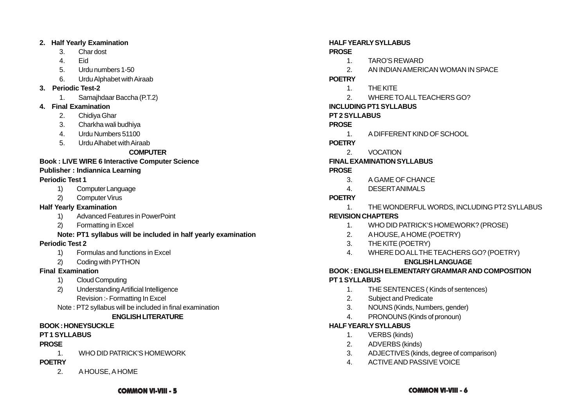### **2. Half Yearly Examination**

- 3. Char dost
- 4. Eid
- 5. Urdu numbers 1-50
- 6. Urdu Alphabet with Airaab
- **3. Periodic Test-2**
	- 1. Samajhdaar Baccha (P.T.2)
- **4. Final Examination**
	- 2. Chidiya Ghar
	- 3. Charkha wali budhiya
	- 4. Urdu Numbers 51100
	- 5. Urdu Alhabet with Airaab

# **COMPUTER**

# **Book : LIVE WIRE 6 Interactive Computer Science**

# **Publisher : Indiannica Learning**

# **Periodic Test 1**

- 1) Computer Language
- 2) Computer Virus

# **Half Yearly Examination**

- 1) Advanced Features in PowerPoint
- 2) Formatting in Excel

# **Note: PT1 syllabus will be included in half yearly examination**

# **Periodic Test 2**

- 1) Formulas and functions in Excel
- 2) Coding with PYTHON

# **Final Examination**

- 1) Cloud Computing
- 2) Understanding Artificial Intelligence Revision :- Formatting In Excel
- Note : PT2 syllabus will be included in final examination

# **ENGLISH LITERATURE**

# **BOOK : HONEYSUCKLE**

# **PT 1 SYLLABUS**

# **PROSE**

1. WHO DID PATRICK'S HOMEWORK

# **POETRY**

2. A HOUSE, A HOME

### **HALF YEARLY SYLLABUS**

# **PROSE**

- 1. TARO'S REWARD
- 2. AN INDIAN AMERICAN WOMAN IN SPACE

# **POETRY**

- 1. THE KITE
- 2. WHERE TO ALL TEACHERS GO?

# **INCLUDING PT1 SYLLABUS**

# **PT 2 SYLLABUS**

# **PROSE**

1. A DIFFERENT KIND OF SCHOOL

# **POETRY**

2. VOCATION

# **FINAL EXAMINATION SYLLABUS**

# **PROSE**

- 3. A GAME OF CHANCE
- 4. DESERT ANIMALS

# **POETRY**

1. THE WONDERFUL WORDS, INCLUDING PT2 SYLLABUS

# **REVISION CHAPTERS**

- 1. WHO DID PATRICK'S HOMEWORK? (PROSE)
- 2. A HOUSE, A HOME (POETRY)
- 3. THE KITE (POETRY)
- 4. WHERE DO ALL THE TEACHERS GO? (POETRY)

# **ENGLISH LANGUAGE**

# **BOOK : ENGLISH ELEMENTARY GRAMMAR AND COMPOSITION**

# **PT 1 SYLLABUS**

- 1. THE SENTENCES ( Kinds of sentences)
- 2. Subject and Predicate
- 3. NOUNS (Kinds, Numbers, gender)
- 4. PRONOUNS (Kinds of pronoun)

# **HALF YEARLY SYLLABUS**

- 1. VERBS (kinds)
- 2. ADVERBS (kinds)
- 3. ADJECTIVES (kinds, degree of comparison)
- 4. ACTIVE AND PASSIVE VOICE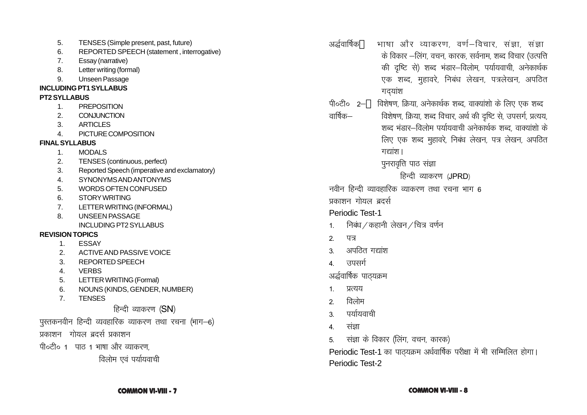- 5. TENSES (Simple present, past, future)
- 6. REPORTED SPEECH (statement , interrogative)
- 7. Essay (narrative)
- 8. Letter writing (formal)
- 9. Unseen Passage

# **INCLUDING PT1 SYLLABUS**

# **PT2 SYLLABUS**

- 1. PREPOSITION
- 2. CONJUNCTION
- 3. ARTICLES
- 4. PICTURE COMPOSITION

# **FINAL SYLLABUS**

- 1. MODALS
- 2. TENSES (continuous, perfect)
- 3. Reported Speech (imperative and exclamatory)
- 4. SYNONYMS AND ANTONYMS
- 5. WORDS OFTEN CONFUSED
- 6. STORY WRITING
- 7. LETTER WRITING (INFORMAL)
- 8. UNSEEN PASSAGE
	- INCLUDING PT2 SYLLABUS

# **REVISION TOPICS**

- 1. ESSAY
- 2. ACTIVE AND PASSIVE VOICE
- 3. REPORTED SPEECH
- 4. VERBS
- 5. LETTER WRITING (Formal)
- 6. NOUNS (KINDS, GENDER, NUMBER)
- 7. TENSES

# हिन्दी व्याकरण  $(SN)$

- $\overline{u}$ पुस्तकनवीन हिन्दी व्यवहारिक व्याकरण तथा रचना (भाग $-6$ )
- प्रकाशन गोयल बदर्स प्रकाशन
- पी०टी० 1 पाठ 1 भाषा और व्याकरण.

विलोम एवं पर्यायवाची

- अर्द्धवार्षिक \* भाषा और व्याकरण वर्ण—विचार संज्ञा संज्ञा के विकार –लिंग, वचन, कारक, सर्वनाम, शब्द विचार (उत्पत्ति की दृष्टि से) शब्द भंडार-विलोम, पर्यायवाची, अनेकार्थक एक शब्द, मुहावरे, निबंध लेखन, पत्रलेखन, अपठित गदयांश
- $\hat{\phi}$ के  $\hat{\theta}$  are force the state in analytic because in the constant in the constant of  $\hat{\theta}$ वार्षिक– विशेषण, क्रिया, शब्द विचार, अर्थ की दृष्टि से, उपसर्ग, प्रत्यय, शब्द भंडार-विलोम पर्यायवाची अनेकार्थक शब्द, वाक्यांशो के लिए एक शब्द मुहावरे, निबंध लेखन, पत्र लेखन, अपठित गद्यांश।

पनरावृत्ति पाठ संज्ञा

हिन्दी व्याकरण (JPRD)

नवीन हिन्दी व्यावहारिक व्याकरण तथा रचना भाग  $\kappa$ 

प्रकाशन गोयल बदर्स

# Periodic Test-1

- $1.$  निबंध / कहानी लेखन / चित्र वर्णन
- $2 47$
- 3. अपठित गद्यांश
- 4 उपसर्ग

अर्द्धवार्षिक पाठ्यक्रम

- 1. प्रत्यय
- $2 \overline{a}$ विलोम
- 3 पर्यायवाची
- 4. संज्ञा
- 5. संज्ञा के विकार (लिंग, वचन, कारक)

Periodic Test-1 का पाठयक्रम अर्धवार्षिक परीक्षा में भी सम्मिलित होगा। Periodic Test-2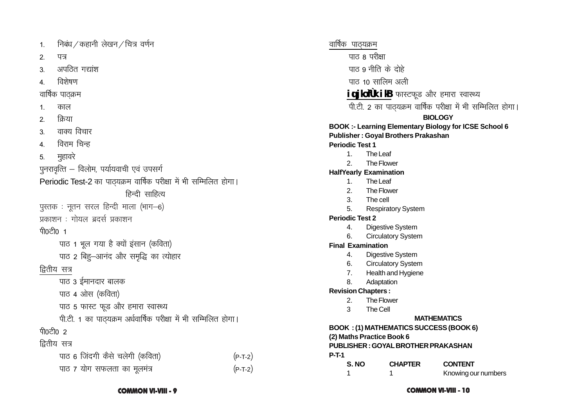निबंध / कहानी लेखन / चित्र वर्णन  $\mathbf{1}$  $\mathcal{P}_{\mathcal{P}}$ ਧਕ अपदित गद्यांश  $3<sub>l</sub>$ विशेषण  $\overline{4}$ वार्षिक पाठक्रम काल  $\mathbf{1}$ किया  $\mathcal{P}_{\mathcal{P}}$ वाक्य विचार  $\overline{3}$ विराम चिन्ह  $\overline{4}$ मुहावरे  $5<sub>1</sub>$ पुनरावृत्ति – विलोम, पर्यायवाची एवं उपसर्ग Periodic Test-2 का पाठ्यक्रम वार्षिक परीक्षा में भी सम्मिलित होगा। हिन्दी साहित्य पुस्तक: नृतन सरल हिन्दी माला (भाग-6) प्रकाशन : गोयल ब्रदर्स प्रकाशन ਧੀ0ਟੀ0 1 पाठ 1 भूल गया है क्यों इंसान (कविता) पाठ 2 बिह-आनंद और समुद्धि का त्योहार द्वितीय सत्र पाठ ३ ईमानदार बालक पाठ 4 ओस (कविता) पाठ 5 फास्ट फूड और हमारा स्वास्थ्य पी.टी. 1 का पाठ्यक्रम अर्धवार्षिक परीक्षा में भी सम्मिलित होगा। ਧੀ0ਟੀ0 2 द्वितीय सत्र पाठ 6 जिंदगी कैसे चलेगी (कविता) पाठ 7 योग सफलता का मूलमंत्र

वार्षिक पाठयक्रम ਧਾਰ 8 ਧ<sup>੍</sup>ਮੇਆ पाठ 9 नीति के दोहे पांत 10 सालिम अली **igjlofük ilB** फास्टफूड और हमारा स्वास्थ्य पी.टी. 2 का पाठ्यक्रम वार्षिक परीक्षा में भी सम्मिलित होगा। **BIOLOGY BOOK:- Learning Elementary Biology for ICSE School 6 Publisher: Goyal Brothers Prakashan Periodic Test 1**  $\mathbf{1}$ . The Leaf  $\overline{2}$ . The Flower **HalfYearly Examination**  $\mathbf{1}$ . The Leaf  $\mathcal{P}$ The Flower The cell 3. 5. **Respiratory System Periodic Test 2**  $\overline{4}$ . **Digestive System** 6. **Circulatory System Final Examination** Digestive System 4. 6. **Circulatory System**  $7.$ Health and Hygiene  $\mathsf{R}$ Adaptation **Revision Chapters:** 2. The Flower 3 The Cell **MATHEMATICS BOOK : (1) MATHEMATICS SUCCESS (BOOK 6)** (2) Maths Practice Book 6 **PUBLISHER: GOYAL BROTHER PRAKASHAN**  $P-T-1$ S. NO **CHAPTER CONTENT**  $\mathbf{1}$  $\overline{1}$ Knowing our numbers

 $(P-T-2)$ 

 $(P-T-2)$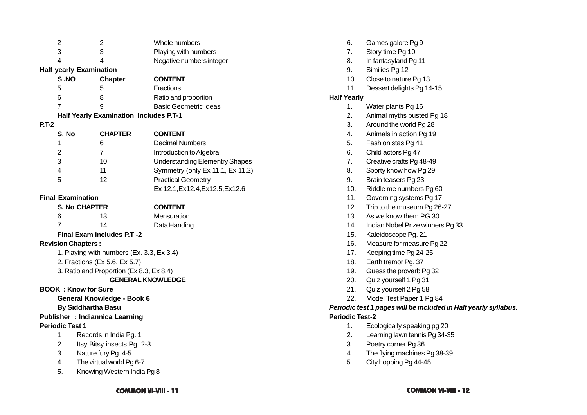| $\overline{c}$                           |                                           | $\overline{2}$                                | Whole numbers                         |  |  |
|------------------------------------------|-------------------------------------------|-----------------------------------------------|---------------------------------------|--|--|
| 3                                        |                                           | 3                                             | Playing with numbers                  |  |  |
| 4                                        |                                           | 4                                             | Negative numbers integer              |  |  |
|                                          | <b>Half yearly Examination</b>            |                                               |                                       |  |  |
|                                          | S.NO                                      | <b>Chapter</b>                                | <b>CONTENT</b>                        |  |  |
| 5                                        |                                           | 5                                             | Fractions                             |  |  |
| 6                                        |                                           | 8                                             | Ratio and proportion                  |  |  |
| 7                                        |                                           | 9                                             | <b>Basic Geometric Ideas</b>          |  |  |
|                                          |                                           | <b>Half Yearly Examination Includes P.T-1</b> |                                       |  |  |
| $P.T-2$                                  |                                           |                                               |                                       |  |  |
|                                          | S. No                                     | <b>CHAPTER</b>                                | <b>CONTENT</b>                        |  |  |
| 1                                        |                                           | 6                                             | <b>Decimal Numbers</b>                |  |  |
| $\overline{2}$                           |                                           | $\overline{7}$                                | Introduction to Algebra               |  |  |
| 3                                        |                                           | 10                                            | <b>Understanding Elementry Shapes</b> |  |  |
| 4                                        |                                           | 11                                            | Symmetry (only Ex 11.1, Ex 11.2)      |  |  |
| 5                                        |                                           | 12                                            | <b>Practical Geometry</b>             |  |  |
|                                          |                                           |                                               | Ex 12.1, Ex 12.4, Ex 12.5, Ex 12.6    |  |  |
|                                          | <b>Final Examination</b>                  |                                               |                                       |  |  |
|                                          | <b>S. No CHAPTER</b>                      |                                               | <b>CONTENT</b>                        |  |  |
| 6                                        |                                           | 13                                            | Mensuration                           |  |  |
| 7                                        |                                           | 14                                            | Data Handing.                         |  |  |
|                                          |                                           | <b>Final Exam includes P.T -2</b>             |                                       |  |  |
|                                          | <b>Revision Chapters:</b>                 |                                               |                                       |  |  |
|                                          | 1. Playing with numbers (Ex. 3.3, Ex 3.4) |                                               |                                       |  |  |
| 2. Fractions (Ex 5.6, Ex 5.7)            |                                           |                                               |                                       |  |  |
| 3. Ratio and Proportion (Ex 8.3, Ex 8.4) |                                           |                                               |                                       |  |  |
| <b>GENERAL KNOWLEDGE</b>                 |                                           |                                               |                                       |  |  |
| <b>BOOK: Know for Sure</b>               |                                           |                                               |                                       |  |  |
| General Knowledge - Book 6               |                                           |                                               |                                       |  |  |
| <b>By Siddhartha Basu</b>                |                                           |                                               |                                       |  |  |
| <b>Publisher : Indiannica Learning</b>   |                                           |                                               |                                       |  |  |
| <b>Periodic Test 1</b>                   |                                           |                                               |                                       |  |  |
| 1                                        |                                           | Records in India Pg. 1                        |                                       |  |  |
| 2.                                       | Itsy Bitsy insects Pg. 2-3                |                                               |                                       |  |  |
| 3.                                       | Nature fury Pg. 4-5                       |                                               |                                       |  |  |
| 4.                                       | The virtual world Pg 6-7                  |                                               |                                       |  |  |
| 5.                                       | Knowing Western India Pg 8                |                                               |                                       |  |  |

| 6.                                                              | Games galore Pg 9                |  |  |  |
|-----------------------------------------------------------------|----------------------------------|--|--|--|
| 7.                                                              | Story time Pg 10                 |  |  |  |
| 8.                                                              | In fantasyland Pg 11             |  |  |  |
| 9.                                                              | Similies Pg 12                   |  |  |  |
| 10.                                                             | Close to nature Pg 13            |  |  |  |
| 11.                                                             | Dessert delights Pg 14-15        |  |  |  |
| <b>Half Yearly</b>                                              |                                  |  |  |  |
| 1.                                                              | Water plants Pg 16               |  |  |  |
| 2.                                                              | Animal myths busted Pg 18        |  |  |  |
| 3.                                                              | Around the world Pg 28           |  |  |  |
| 4.                                                              | Animals in action Pg 19          |  |  |  |
| 5.                                                              | Fashionistas Pg 41               |  |  |  |
| 6.                                                              | Child actors Pg 47               |  |  |  |
| 7.                                                              | Creative crafts Pg 48-49         |  |  |  |
| 8.                                                              | Sporty know how Pg 29            |  |  |  |
| 9.                                                              | Brain teasers Pg 23              |  |  |  |
| 10.                                                             | Riddle me numbers Pg 60          |  |  |  |
| 11.                                                             | Governing systems Pg 17          |  |  |  |
| 12.                                                             | Trip to the museum Pg 26-27      |  |  |  |
| 13.                                                             | As we know them PG 30            |  |  |  |
| 14.                                                             | Indian Nobel Prize winners Pg 33 |  |  |  |
| 15.                                                             | Kaleidoscope Pg. 21              |  |  |  |
| 16.                                                             | Measure for measure Pg 22        |  |  |  |
| 17.                                                             | Keeping time Pg 24-25            |  |  |  |
| 18.                                                             | Earth tremor Pg. 37              |  |  |  |
| 19.                                                             | Guess the proverb Pg 32          |  |  |  |
| 20.                                                             | Quiz yourself 1 Pg 31            |  |  |  |
| 21.                                                             | Quiz yourself 2 Pg 58            |  |  |  |
| 22.                                                             | Model Test Paper 1 Pg 84         |  |  |  |
| Periodic test 1 pages will be included in Half yearly syllabus. |                                  |  |  |  |
| <b>Periodic Test-2</b>                                          |                                  |  |  |  |
| $\overline{A}$                                                  | $\overline{ }$                   |  |  |  |

- 1. Ecologically speaking pg 20
- 2. Learning lawn tennis Pg 34-35
- 3. Poetry corner Pg 36
- 4. The flying machines Pg 38-39
- 5. City hopping Pg 44-45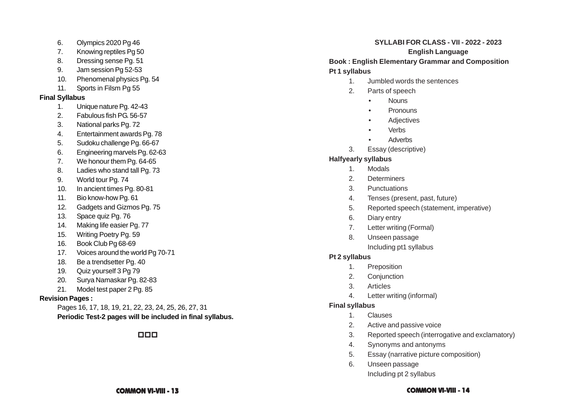- 6. Olympics 2020 Pg 46
- 7. Knowing reptiles Pg 50
- 8. Dressing sense Pg. 51
- 9. Jam session Pg 52-53
- 10. Phenomenal physics Pg. 54
- 11. Sports in Filsm Pg 55

# **Final Syllabus**

- 1. Unique nature Pg. 42-43
- 2. Fabulous fish PG. 56-57
- 3. National parks Pg. 72
- 4. Entertainment awards Pg. 78
- 5. Sudoku challenge Pg. 66-67
- 6. Engineering marvels Pg. 62-63
- 7. We honour them Pg. 64-65
- 8. Ladies who stand tall Pg. 73
- 9. World tour Pg. 74
- 10. In ancient times Pg. 80-81
- 11. Bio know-how Pg. 61
- 12. Gadgets and Gizmos Pg. 75
- 13. Space quiz Pg. 76
- 14. Making life easier Pg. 77
- 15. Writing Poetry Pg. 59
- 16. Book Club Pg 68-69
- 17. Voices around the world Pg 70-71
- 18. Be a trendsetter Pg. 40
- 19. Quiz yourself 3 Pg 79
- 20. Surya Namaskar Pg. 82-83
- 21. Model test paper 2 Pg. 85

# **Revision Pages :**

Pages 16, 17, 18, 19, 21, 22, 23, 24, 25, 26, 27, 31 **Periodic Test-2 pages will be included in final syllabus.**

# 000

### **SYLLABI FOR CLASS - VII - 2022 - 2023**

### **English Language**

# **Book : English Elementary Grammar and Composition Pt 1 syllabus**

- 1. Jumbled words the sentences
- 2. Parts of speech
	- •**Nouns**
	- •**Pronouns**
	- •**Adiectives**
	- •Verbs
	- •Adverbs
- 3. Essay (descriptive)

# **Halfyearly syllabus**

- 1. Modals
- 2. Determiners
- 3. Punctuations
- 4. Tenses (present, past, future)
- 5. Reported speech (statement, imperative)
- 6. Diary entry
- 7. Letter writing (Formal)
- 8. Unseen passage
	- Including pt1 syllabus

# **Pt 2 syllabus**

- 1. Preposition
- 2. Conjunction
- 3. Articles
- 4. Letter writing (informal)

# **Final syllabus**

- 1. Clauses
- 2. Active and passive voice
- 3. Reported speech (interrogative and exclamatory)
- 4. Synonyms and antonyms
- 5. Essay (narrative picture composition)
- 6. Unseen passage Including pt 2 syllabus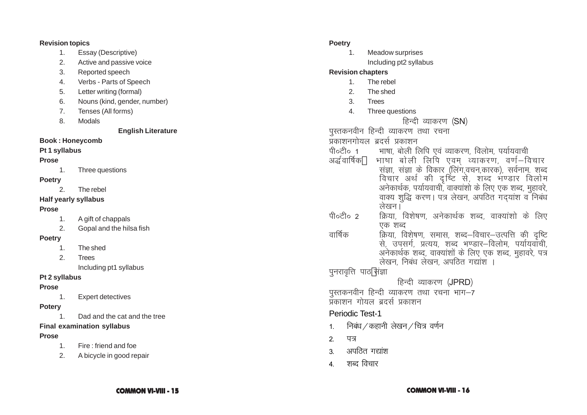### **Revision topics**

- 1. Essay (Descriptive)
- 2. Active and passive voice
- 3. Reported speech
- 4. Verbs Parts of Speech
- 5. Letter writing (formal)
- 6. Nouns (kind, gender, number)
- 7. Tenses (All forms)
- 8. Modals

**English Literature**

# **Book : Honeycomb**

# **Pt 1 syllabus**

# **Prose**

1. Three questions

# **Poetry**

2. The rebel

# **Half yearly syllabus**

# **Prose**

- 1. A gift of chappals
- 2. Gopal and the hilsa fish

# **Poetry**

- 1. The shed
- 2. Trees

Including pt1 syllabus

# **Pt 2 syllabus**

# **Prose**

1. Expert detectives

# **Potery**

1. Dad and the cat and the tree

# **Final examination syllabus**

# **Prose**

- 1. Fire : friend and foe
- 2. A bicycle in good repair

### **Poetry**

- 1. Meadow surprises
	- Including pt2 syllabus

# **Revision chapters**

- 1. The rebel
- 2. The shed
- 3. Trees
- 4. Three questions

# हिन्दी व्याकरण (SN)

पुस्तकनवीन हिन्दी व्याकरण तथा रचना

# प्रकाशनगोयल ब्रदर्स प्रकाशन

- पी०टी० 1 भाषा, बोली लिपि एवं व्याकरण, विलोम, पर्यायवाची
- अर्द्धवार्षिक भाषा बोली लिपि एवम् व्याकरण, वर्ण—विचार<br>संज्ञा, संज्ञा के विकार (लिंग,वचन,कारक), सर्वनाम. शब्द<br>विचार अर्थ की दृष्टि से, शब्द भण्डार विलोम<br>अनेकार्थक, पर्यायवाची, वाक्यांशो के लिए एक शब्द, मुहावरे,<br>वाक्य शुद्ध
- पी०टी० 2 किया, विशेषण, अनेकार्थक शब्द, वाक्यांशो के लिए एक शब्द
- oार्षिक क्रिया, विशेषण, समास, शब्द—विचार—उत्पत्ति की दृष्टि<br>से, उपसर्ग, प्रत्यय, शब्द भण्डार—विलोम, पर्यायवाची, अनेकार्थक शब्द, वाक्यांशों के लिए एक शब्द, मुहावरे, पत्र<br>लेखन, निबंध लेखन, अपठित गद्यांश ।

पुनरावृत्ति पाठ $\,$ संज्ञा

- हिन्दी व्याकरण (JPRD)
- पुस्तकनवीन हिन्दी व्याकरण तथा रचना भाग—7<br>प्रकाशन गोयल ब्रदर्स प्रकाशन
- 

# Periodic Test-1

 $1.$  निबंध / कहानी लेखन / चित्र वर्णन

2. पत्र

- 3 अपतित गद्यांश
- 4 शब्द विचार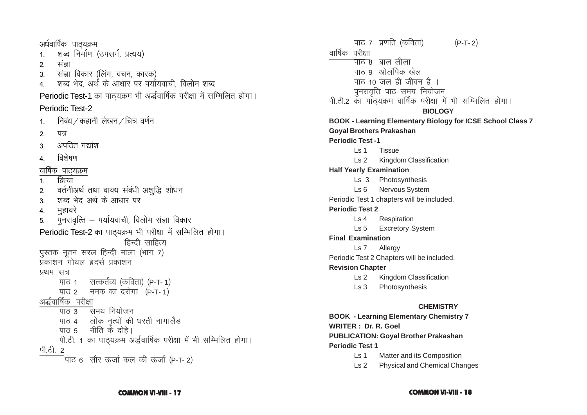अर्धवार्षिक पाठयक्रम शब्द निर्माण (उपसर्ग, प्रत्यय)  $\mathbf{1}$  $\mathcal{P}$ संज्ञा संज्ञा विकार (लिंग, वचन, कारक)  $\mathcal{S}$ ्शब्द भेद, अर्थ के आधार पर पर्यायवाची, विलोम शब्द  $\overline{4}$ . Periodic Test-1 का पाठयक्रम भी अर्द्धवार्षिक परीक्षा में सम्मिलित होगा। Periodic Test-2 निबंध / कहानी लेखन / चित्र वर्णन  $\mathbf{1}$ पत्र  $\mathcal{P}_{\mathcal{P}}$ अपठित गद्यांश  $\overline{3}$ विशेषण  $\overline{4}$ वार्षिक पाठयक्रम क्रिया  $\mathbf{1}$ वर्तनीअर्थ तथा वाक्य संबंधी अशुद्धि शोधन  $2.$ शब्द भेद अर्थ के आधार पर  $3.$ मुहावरे  $\overline{4}$ . पुनरावृत्ति – पर्यायवाची, विलोम संज्ञा विकार  $5<sub>1</sub>$ Periodic Test-2 का पाठ्यक्रम भी परीक्षा में सम्मिलित होगा। हिन्दी साहित्य पुस्तक नूतन सरल हिन्दी माला (भाग 7) प्रकाशन गोयल बदर्स प्रकाशन प्रथम सत्र पाठ 1 सत्कर्तव्य (कविता) (P-T-1) पाठ 2 नमक का दरोगा (P-T-1) अर्द्धवार्षिक परीक्षा पाठ 3 समय नियोजन पाठ 4 लोक नृत्यों की धरती नागालैंड पात 5 नीति के दोहे। पी.टी. 1 का पाठ्यक्रम अर्द्धवार्षिक परीक्षा में भी सम्मिलित होगा। पी.टी. 2 पाठ 6 सौर ऊर्जा कल की ऊर्जा (P-T-2)

पाठ 7 प्रणति (कविता)  $(P-T-2)$ वार्षिक परीक्षा <del>पांत</del> ८ बाल लीला पाठ ९ ओलंपिक खेल पाठ 10 जल ही जीवन है । पनरावृत्ति पाठ समय नियोजन पी.टी.2 का पांठयक्रम वार्षिक परीक्षा में भी सम्मिलित होगा। **BIOLOGY BOOK - Learning Elementary Biology for ICSE School Class 7 Goval Brothers Prakashan Periodic Test -1**  $\sqrt{51}$ Tissue  $\sqrt{3}$ Kingdom Classification **Half Yearly Examination** Ls 3 Photosynthesis  $\text{Ls}6$ **Nervous System** Periodic Test 1 chapters will be included. **Periodic Test 2**  $\mathsf{L}$ s 4 Respiration **Excretory System**  $\mathsf{Ls}5$ **Final Examination** Ls 7 Allergy Periodic Test 2 Chapters will be included. **Revision Chapter** Ls 2 Kingdom Classification  $\mathsf{Ls}\,3$ Photosynthesis **CHEMISTRY BOOK - Learning Elementary Chemistry 7 WRITER: Dr. R. Goel PUBLICATION: Goval Brother Prakashan Periodic Test 1**  $\mathsf{L}$ s 1

Matter and its Composition

**Physical and Chemical Changes**  $\mathsf{Ls}$  2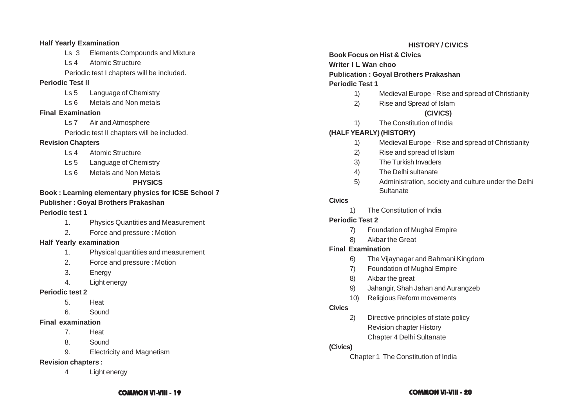### **Half Yearly Examination**

- Ls 3 Elements Compounds and Mixture
- Ls 4 Atomic Structure

Periodic test I chapters will be included.

### **Periodic Test II**

- Ls 5 Language of Chemistry
- Ls 6 Metals and Non metals

### **Final Examination**

Ls 7 Air and Atmosphere

Periodic test II chapters will be included.

### **Revision Chapters**

- Ls 4 Atomic Structure
- Ls 5 Language of Chemistry
- Ls 6 Metals and Non Metals

# **PHYSICS**

# **Book : Learning elementary physics for ICSE School 7**

# **Publisher : Goyal Brothers Prakashan**

### **Periodic test 1**

- 1. Physics Quantities and Measurement
- 2. Force and pressure : Motion

### **Half Yearly examination**

- 1. Physical quantities and measurement
- 2. Force and pressure : Motion
- 3. Energy
- 4. Light energy

# **Periodic test 2**

- 5. Heat
- 6. Sound

# **Final examination**

- 7. Heat
- 8. Sound
- 9. Electricity and Magnetism

# **Revision chapters :**

4 Light energy

# **HISTORY / CIVICS**

**Book Focus on Hist & Civics Writer I L Wan choo Publication : Goyal Brothers Prakashan Periodic Test 1**

- 1) Medieval Europe Rise and spread of Christianity
- 2) Rise and Spread of Islam

# **(CIVICS)**

1) The Constitution of India

# **(HALF YEARLY) (HISTORY)**

- 1) Medieval Europe Rise and spread of Christianity
- 2) Rise and spread of Islam
- 3) The Turkish Invaders
- 4) The Delhi sultanate
- 5) Administration, society and culture under the Delhi **Sultanate**

# **Civics**

1) The Constitution of India

# **Periodic Test 2**

- 7) Foundation of Mughal Empire
- 8) Akbar the Great

# **Final Examination**

- 6) The Vijaynagar and Bahmani Kingdom
- 7) Foundation of Mughal Empire
- 8) Akbar the great
- 9) Jahangir, Shah Jahan and Aurangzeb
- 10) Religious Reform movements

# **Civics**

2) Directive principles of state policy Revision chapter History Chapter 4 Delhi Sultanate

# **(Civics)**

Chapter 1 The Constitution of India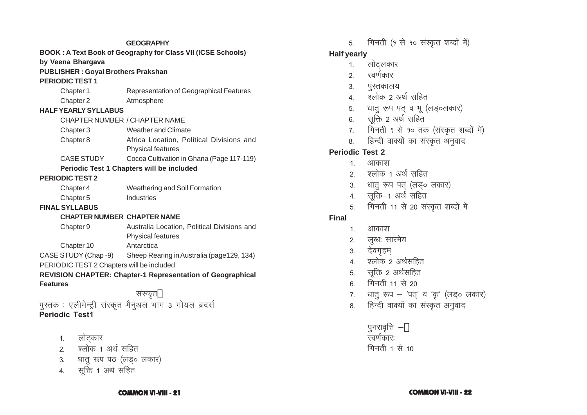# **GEOGRAPHY BOOK : A Text Book of Geography for Class VII (ICSE Schools) by Veena Bhargava PUBLISHER : Goyal Brothers Prakshan PERIODIC TEST 1** Chapter 1 Representation of Geographical Features Chapter 2 Atmosphere **HALF YEARLY SYLLABUS** CHAPTER NUMBER / CHAPTER NAME Chapter 3 Weather and Climate Chapter 8 Africa Location, Political Divisions and Physical features CASE STUDY Cocoa Cultivation in Ghana (Page 117-119) **Periodic Test 1 Chapters will be included PERIODIC TEST 2** Chapter 4 Weathering and Soil Formation Chapter 5 Industries **FINAL SYLLABUS CHAPTER NUMBER CHAPTER NAME** Chapter 9 Australia Location, Political Divisions and Physical features Chapter 10 Antarctica CASE STUDY (Chap -9) Sheep Rearing in Australia (page129, 134) PERIODIC TEST 2 Chapters will be included **REVISION CHAPTER: Chapter-1 Representation of Geographical Features** संस्कृत **"** पुस्तक : एलीमेन्ट्री संस्कृत मैनुअल भाग 3 गोयल ब्रदर्स **Periodic Test1**

- 1. लोटकार
- $2.$  श्लोक 1 अर्थ सहित
- 3. धातु रूप पठ (लड़० लकार)
- 4. सूक्ति 1 अर्थ सहित

5. गिनती (१ से १० संस्कृत शब्दों में)

# **Half yearly**

- 1. लोटलकार
- 2. स्वर्णकार
- 3. पुस्तकालय
- $4.$  पलोक 2 अर्थ सहित
- 5. धातु रूप पठ् व भू (लड़०लकार)
- 6. सूक्ति 2 अर्थ सहित
- $7.$  गिनती १ से १० तक (संस्कृत शब्दों में)
- 8. हिन्दी वाक्यों का संस्कृत अनुवाद

# **Periodic Test 2**

- 1 आकाश
- $2 \overline{2}$ रुलोक 1 अर्थ सहित
- 3. धात् रूप पत् (लड़० लकार)
- 4. सक्ति-1 अर्थ सहित
- 5. मिनती 11 से 20 संस्कृत शब्दों में

# **Final**

- 1 आकाश
- 2. लब्धः सारमेय
- 3. देवगहम
- 4. श्लोक 2 अर्थसहित
- 5. सूक्ति 2 अर्थसहित
- $6.$  गिनती 11 से 20
- 7. धातु रूप  $-$  'पत्' व 'कृ' (लड़० लकार)
- 8. हिन्दी वाक्यों का संस्कृत अनुवाद

पुनरावृत्ति $-^\prime$ स्वर्णकार: गिनती 1 से  $10$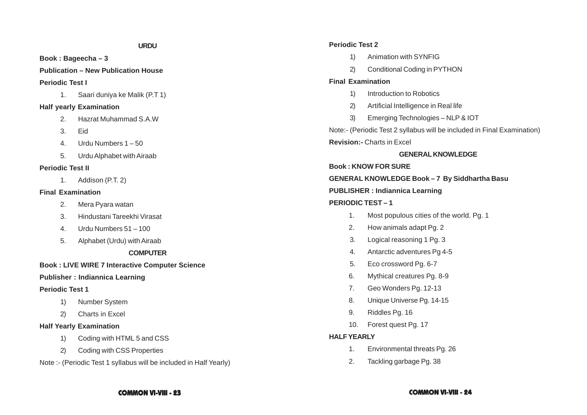**Book : Bageecha – 3**

**Publication – New Publication House**

### **Periodic Test I**

1. Saari duniya ke Malik (P.T 1)

### **Half yearly Examination**

- 2. Hazrat Muhammad S.A.W
- 3. Eid
- 4. Urdu Numbers 1 50
- 5. Urdu Alphabet with Airaab

# **Periodic Test II**

1. Addison (P.T. 2)

# **Final Examination**

- 2. Mera Pyara watan
- 3. Hindustani Tareekhi Virasat
- 4. Urdu Numbers 51 100
- 5. Alphabet (Urdu) with Airaab

# **COMPUTER**

# **Book : LIVE WIRE 7 Interactive Computer Science**

# **Publisher : Indiannica Learning**

# **Periodic Test 1**

- 1) Number System
- 2) Charts in Excel

# **Half Yearly Examination**

- 1) Coding with HTML 5 and CSS
- 2) Coding with CSS Properties

Note :- (Periodic Test 1 syllabus will be included in Half Yearly)

# **Periodic Test 2**

- 1) Animation with SYNFIG
- 2) Conditional Coding in PYTHON

# **Final Examination**

- 1) Introduction to Robotics
- 2) Artificial Intelligence in Real life
- 3) Emerging Technologies NLP & IOT

Note:- (Periodic Test 2 syllabus will be included in Final Examination)

# **Revision:-** Charts in Excel

# **GENERAL KNOWLEDGE**

# **Book : KNOW FOR SURE**

# **GENERAL KNOWLEDGE Book – 7 By Siddhartha Basu**

# **PUBLISHER : Indiannica Learning**

# **PERIODIC TEST – 1**

- 1. Most populous cities of the world. Pg. 1
- 2. How animals adapt Pg. 2
- 3. Logical reasoning 1 Pg. 3
- 4. Antarctic adventures Pg 4-5
- 5. Eco crossword Pg. 6-7
- 6. Mythical creatures Pg. 8-9
- 7. Geo Wonders Pg. 12-13
- 8. Unique Universe Pg. 14-15
- 9. Riddles Pg. 16
- 10. Forest quest Pg. 17

# **HALF YEARLY**

- 1. Environmental threats Pg. 26
- 2. Tackling garbage Pg. 38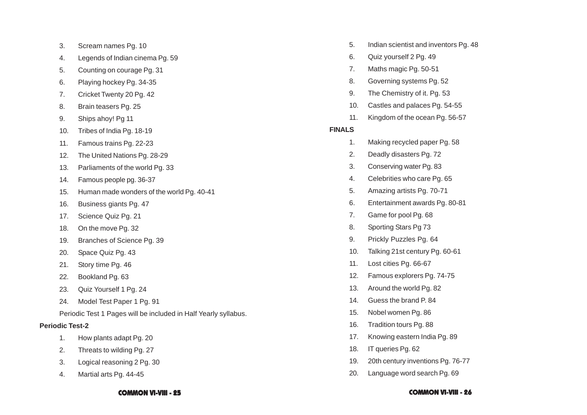- 3. Scream names Pg. 10
- 4. Legends of Indian cinema Pg. 59
- 5. Counting on courage Pg. 31
- 6. Playing hockey Pg. 34-35
- 7. Cricket Twenty 20 Pg. 42
- 8. Brain teasers Pg. 25
- 9. Ships ahoy! Pg 11
- 10. Tribes of India Pg. 18-19
- 11. Famous trains Pg. 22-23
- 12. The United Nations Pg. 28-29
- 13. Parliaments of the world Pg. 33
- 14. Famous people pg. 36-37
- 15. Human made wonders of the world Pg. 40-41
- 16. Business giants Pg. 47
- 17. Science Quiz Pg. 21
- 18. On the move Pg. 32
- 19. Branches of Science Pg. 39
- 20. Space Quiz Pg. 43
- 21. Story time Pg. 46
- 22. Bookland Pg. 63
- 23. Quiz Yourself 1 Pg. 24
- 24. Model Test Paper 1 Pg. 91

Periodic Test 1 Pages will be included in Half Yearly syllabus.

### **Periodic Test-2**

- 1. How plants adapt Pg. 20
- 2. Threats to wilding Pg. 27
- 3. Logical reasoning 2 Pg. 30
- 4. Martial arts Pg. 44-45
- 5. Indian scientist and inventors Pg. 48
- 6. Quiz yourself 2 Pg. 49
- 7. Maths magic Pg. 50-51
- 8. Governing systems Pg. 52
- 9. The Chemistry of it. Pg. 53
- 10. Castles and palaces Pg. 54-55
- 11. Kingdom of the ocean Pg. 56-57

### **FINALS**

- 1. Making recycled paper Pg. 58
- 2. Deadly disasters Pg. 72
- 3. Conserving water Pg. 83
- 4. Celebrities who care Pg. 65
- 5. Amazing artists Pg. 70-71
- 6. Entertainment awards Pg. 80-81
- 7. Game for pool Pg. 68
- 8. Sporting Stars Pg 73
- 9. Prickly Puzzles Pg. 64
- 10. Talking 21st century Pg. 60-61
- 11. Lost cities Pg. 66-67
- 12. Famous explorers Pg. 74-75
- 13. Around the world Pg. 82
- 14. Guess the brand P. 84
- 15. Nobel women Pg. 86
- 16. Tradition tours Pg. 88
- 17. Knowing eastern India Pg. 89
- 18. IT queries Pg. 62
- 19. 20th century inventions Pg. 76-77
- 20. Language word search Pg. 69

### **COMMON VI-VIII - 25 COMMON VI-VIII - 26**